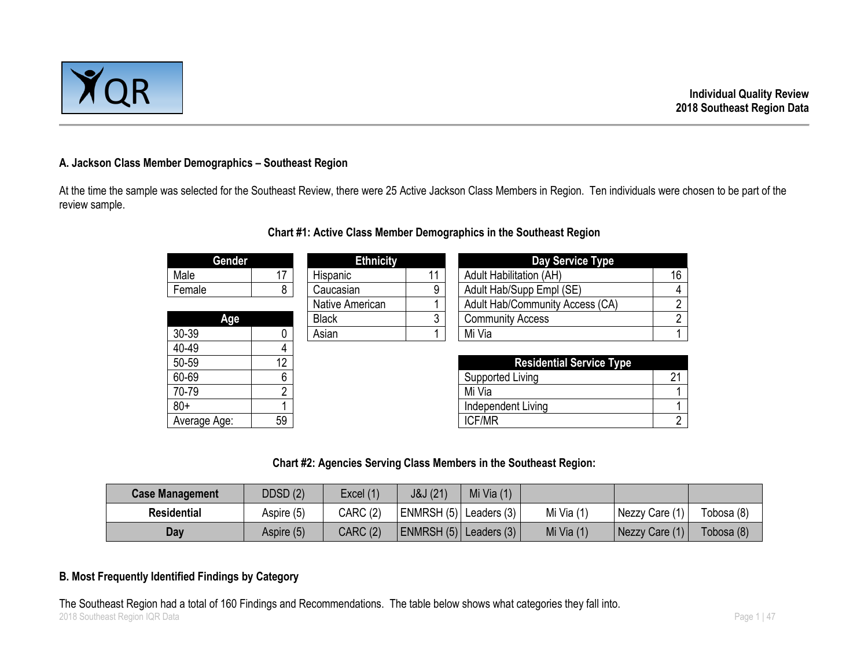

## **A. Jackson Class Member Demographics – Southeast Region**

At the time the sample was selected for the Southeast Review, there were 25 Active Jackson Class Members in Region. Ten individuals were chosen to be part of the review sample.

| Gender       |    | <b>Ethnicity</b> |    | Day Service Type                |                |
|--------------|----|------------------|----|---------------------------------|----------------|
| Male         | 17 | Hispanic         | 11 | <b>Adult Habilitation (AH)</b>  | 16             |
| Female       | 8  | Caucasian        | 9  | Adult Hab/Supp Empl (SE)        | 4              |
|              |    | Native American  |    | Adult Hab/Community Access (CA) | $\overline{2}$ |
| Age          |    | <b>Black</b>     | 3  | <b>Community Access</b>         | $\overline{2}$ |
| 30-39        | 0  | Asian            |    | Mi Via                          | 1              |
| 40-49        |    |                  |    |                                 |                |
| 50-59        | 12 |                  |    | <b>Residential Service Type</b> |                |
| 60-69        | 6  |                  |    | Supported Living                | 21             |
| 70-79        | າ  |                  |    | Mi Via                          |                |
| $80+$        |    |                  |    | Independent Living              |                |
| Average Age: | 59 |                  |    | <b>ICF/MR</b>                   | $\overline{2}$ |

## **Chart #1: Active Class Member Demographics in the Southeast Region**

## **Chart #2: Agencies Serving Class Members in the Southeast Region:**

| <b>Case Management</b> | DDSD(2)    | Excel (1)       | J&J (21)                   | Mi Via $(1)$ |              |                |            |
|------------------------|------------|-----------------|----------------------------|--------------|--------------|----------------|------------|
| <b>Residential</b>     | Aspire (5) | <b>CARC (2)</b> | ENMRSH $(5)$ Leaders $(3)$ |              | Mi Via $(1)$ | Nezzy Care (1) | Tobosa (8) |
| Day                    | Aspire (5) | <b>CARC (2)</b> | ENMRSH (5)   Leaders (3)   |              | Mi Via $(1)$ | Nezzy Care (1) | Tobosa (8) |

## **B. Most Frequently Identified Findings by Category**

2018 Southeast Region IQR Data Page 1 | 47 The Southeast Region had a total of 160 Findings and Recommendations. The table below shows what categories they fall into.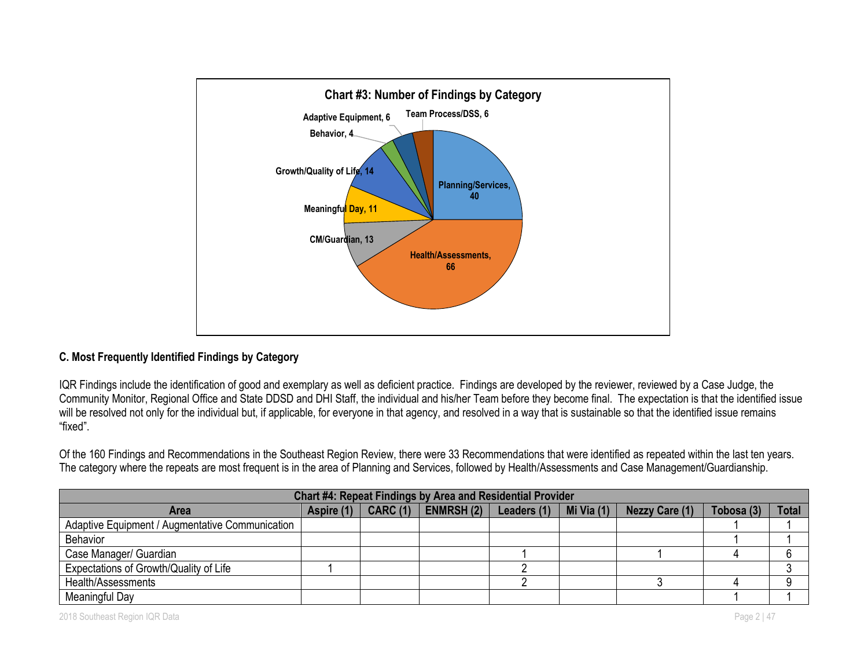

## **C. Most Frequently Identified Findings by Category**

IQR Findings include the identification of good and exemplary as well as deficient practice. Findings are developed by the reviewer, reviewed by a Case Judge, the Community Monitor, Regional Office and State DDSD and DHI Staff, the individual and his/her Team before they become final. The expectation is that the identified issue will be resolved not only for the individual but, if applicable, for everyone in that agency, and resolved in a way that is sustainable so that the identified issue remains "fixed".

Of the 160 Findings and Recommendations in the Southeast Region Review, there were 33 Recommendations that were identified as repeated within the last ten years. The category where the repeats are most frequent is in the area of Planning and Services, followed by Health/Assessments and Case Management/Guardianship.

| <b>Chart #4: Repeat Findings by Area and Residential Provider</b> |            |                 |                  |             |            |                       |            |              |
|-------------------------------------------------------------------|------------|-----------------|------------------|-------------|------------|-----------------------|------------|--------------|
| <b>Area</b>                                                       | Aspire (1) | <b>CARC (1)</b> | <b>ENMRSH(2)</b> | Leaders (1) | Mi Via (1) | <b>Nezzy Care (1)</b> | Tobosa (3) | <b>Total</b> |
| Adaptive Equipment / Augmentative Communication                   |            |                 |                  |             |            |                       |            |              |
| <b>Behavior</b>                                                   |            |                 |                  |             |            |                       |            |              |
| Case Manager/ Guardian                                            |            |                 |                  |             |            |                       |            |              |
| Expectations of Growth/Quality of Life                            |            |                 |                  |             |            |                       |            |              |
| Health/Assessments                                                |            |                 |                  |             |            |                       |            |              |
| Meaningful Day                                                    |            |                 |                  |             |            |                       |            |              |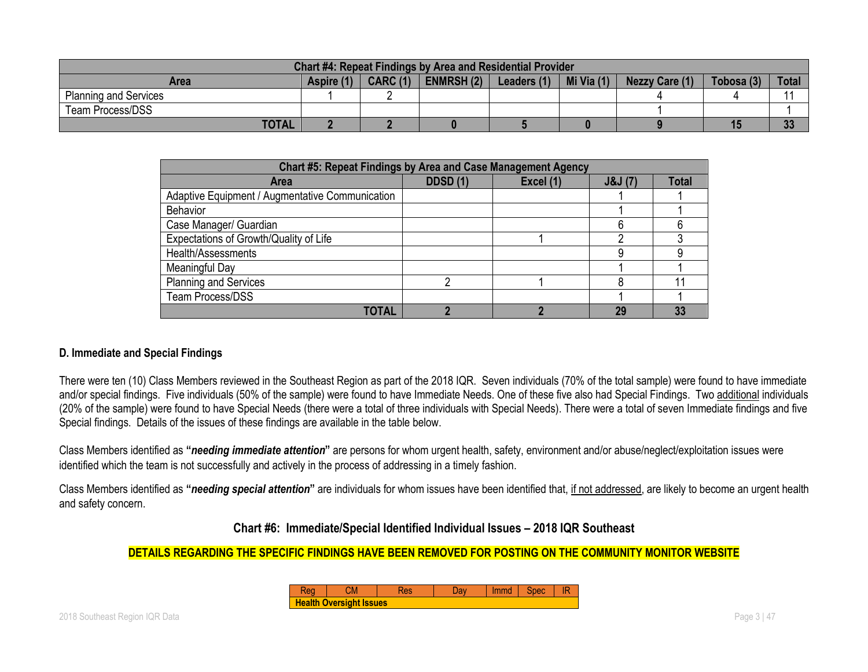| <b>Chart #4: Repeat Findings by Area and Residential Provider</b> |            |                 |                   |             |            |                |            |              |
|-------------------------------------------------------------------|------------|-----------------|-------------------|-------------|------------|----------------|------------|--------------|
| Area                                                              | Aspire (1) | <b>CARC (1)</b> | <b>ENMRSH (2)</b> | Leaders (1) | Mi Via (1) | Nezzy Care (1) | Tobosa (3) | <b>Total</b> |
| <b>Planning and Services</b>                                      |            |                 |                   |             |            |                |            |              |
| <b>Team Process/DSS</b>                                           |            |                 |                   |             |            |                |            |              |
| <b>TOTAL</b>                                                      |            |                 |                   |             |            |                |            | っっ<br>ಀಀ     |

| Chart #5: Repeat Findings by Area and Case Management Agency |                 |           |        |              |  |  |  |  |
|--------------------------------------------------------------|-----------------|-----------|--------|--------------|--|--|--|--|
| Area                                                         | <b>DDSD (1)</b> | Excel (1) | J&J(7) | <b>Total</b> |  |  |  |  |
| Adaptive Equipment / Augmentative Communication              |                 |           |        |              |  |  |  |  |
| <b>Behavior</b>                                              |                 |           |        |              |  |  |  |  |
| Case Manager/ Guardian                                       |                 |           |        |              |  |  |  |  |
| Expectations of Growth/Quality of Life                       |                 |           |        |              |  |  |  |  |
| Health/Assessments                                           |                 |           |        |              |  |  |  |  |
| Meaningful Day                                               |                 |           |        |              |  |  |  |  |
| <b>Planning and Services</b>                                 |                 |           |        |              |  |  |  |  |
| <b>Team Process/DSS</b>                                      |                 |           |        |              |  |  |  |  |
| <b>TOTAL</b>                                                 |                 |           | 29     |              |  |  |  |  |

## **D. Immediate and Special Findings**

There were ten (10) Class Members reviewed in the Southeast Region as part of the 2018 IQR. Seven individuals (70% of the total sample) were found to have immediate and/or special findings. Five individuals (50% of the sample) were found to have Immediate Needs. One of these five also had Special Findings. Two additional individuals (20% of the sample) were found to have Special Needs (there were a total of three individuals with Special Needs). There were a total of seven Immediate findings and five Special findings. Details of the issues of these findings are available in the table below.

Class Members identified as **"***needing immediate attention***"** are persons for whom urgent health, safety, environment and/or abuse/neglect/exploitation issues were identified which the team is not successfully and actively in the process of addressing in a timely fashion.

Class Members identified as **"***needing special attention***"** are individuals for whom issues have been identified that, if not addressed, are likely to become an urgent health and safety concern.

**Chart #6: Immediate/Special Identified Individual Issues – 2018 IQR Southeast**

## **DETAILS REGARDING THE SPECIFIC FINDINGS HAVE BEEN REMOVED FOR POSTING ON THE COMMUNITY MONITOR WEBSITE**

| Г.М                            | kes | Jav | Immd |  |
|--------------------------------|-----|-----|------|--|
| <b>Health Oversight Issues</b> |     |     |      |  |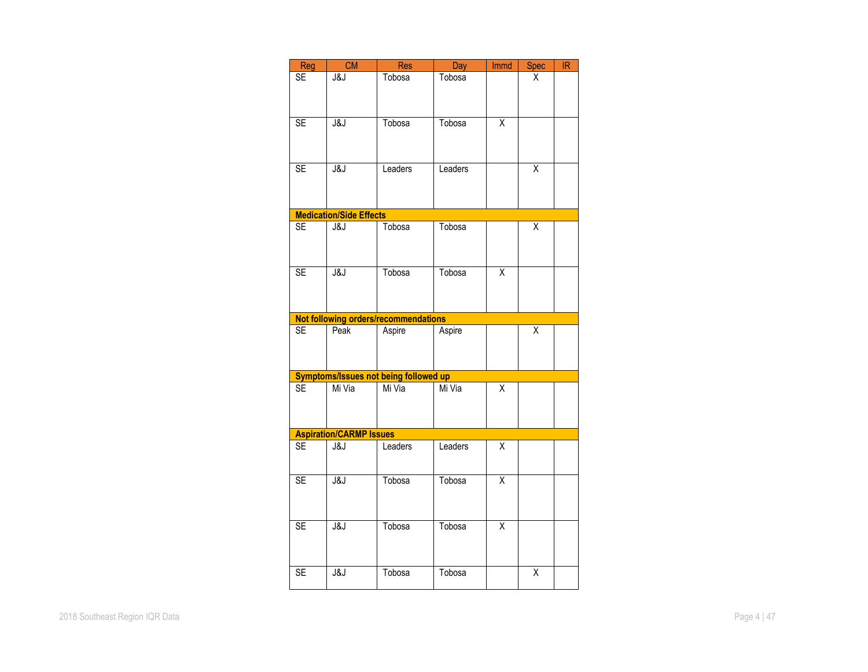| Reg       | CM                             | <b>Res</b>                                   | Day     | <b>Immd</b>             | <b>Spec</b>             | IR |
|-----------|--------------------------------|----------------------------------------------|---------|-------------------------|-------------------------|----|
|           |                                |                                              |         |                         |                         |    |
| SE        | J&J                            | Tobosa                                       | Tobosa  |                         | Χ                       |    |
|           |                                |                                              |         |                         |                         |    |
|           |                                |                                              |         |                         |                         |    |
|           |                                |                                              |         |                         |                         |    |
| <b>SE</b> | J&J                            | Tobosa                                       | Tobosa  | $\overline{\mathsf{x}}$ |                         |    |
|           |                                |                                              |         |                         |                         |    |
|           |                                |                                              |         |                         |                         |    |
|           |                                |                                              |         |                         |                         |    |
| <b>SE</b> | J&J                            | Leaders                                      | Leaders |                         | $\overline{\mathsf{x}}$ |    |
|           |                                |                                              |         |                         |                         |    |
|           |                                |                                              |         |                         |                         |    |
|           |                                |                                              |         |                         |                         |    |
|           |                                |                                              |         |                         |                         |    |
|           | <b>Medication/Side Effects</b> |                                              |         |                         |                         |    |
| <b>SE</b> | J&J                            | Tobosa                                       | Tobosa  |                         | Χ                       |    |
|           |                                |                                              |         |                         |                         |    |
|           |                                |                                              |         |                         |                         |    |
|           |                                |                                              |         |                         |                         |    |
| <b>SE</b> | J&J                            | Tobosa                                       | Tobosa  | $\overline{\mathsf{x}}$ |                         |    |
|           |                                |                                              |         |                         |                         |    |
|           |                                |                                              |         |                         |                         |    |
|           |                                |                                              |         |                         |                         |    |
|           |                                | Not following orders/recommendations         |         |                         |                         |    |
|           |                                |                                              |         |                         |                         |    |
| <b>SE</b> | Peak                           | Aspire                                       | Aspire  |                         | Χ                       |    |
|           |                                |                                              |         |                         |                         |    |
|           |                                |                                              |         |                         |                         |    |
|           |                                |                                              |         |                         |                         |    |
|           |                                | <b>Symptoms/Issues not being followed up</b> |         |                         |                         |    |
| <b>SE</b> | Mi Via                         | Mi Via                                       | Mi Via  | Χ                       |                         |    |
|           |                                |                                              |         |                         |                         |    |
|           |                                |                                              |         |                         |                         |    |
|           |                                |                                              |         |                         |                         |    |
|           | <b>Aspiration/CARMP Issues</b> |                                              |         |                         |                         |    |
| <b>SE</b> | J&J                            | Leaders                                      | Leaders | Χ                       |                         |    |
|           |                                |                                              |         |                         |                         |    |
|           |                                |                                              |         |                         |                         |    |
|           |                                |                                              |         |                         |                         |    |
| <b>SE</b> | J&J                            | Tobosa                                       | Tobosa  | $\overline{\mathsf{x}}$ |                         |    |
|           |                                |                                              |         |                         |                         |    |
|           |                                |                                              |         |                         |                         |    |
|           |                                |                                              |         |                         |                         |    |
| <b>SE</b> | J&J                            | Tobosa                                       | Tobosa  | $\overline{\mathsf{x}}$ |                         |    |
|           |                                |                                              |         |                         |                         |    |
|           |                                |                                              |         |                         |                         |    |
|           |                                |                                              |         |                         |                         |    |
|           |                                |                                              |         |                         |                         |    |
| <b>SE</b> | J&J                            | Tobosa                                       | Tobosa  |                         | Χ                       |    |
|           |                                |                                              |         |                         |                         |    |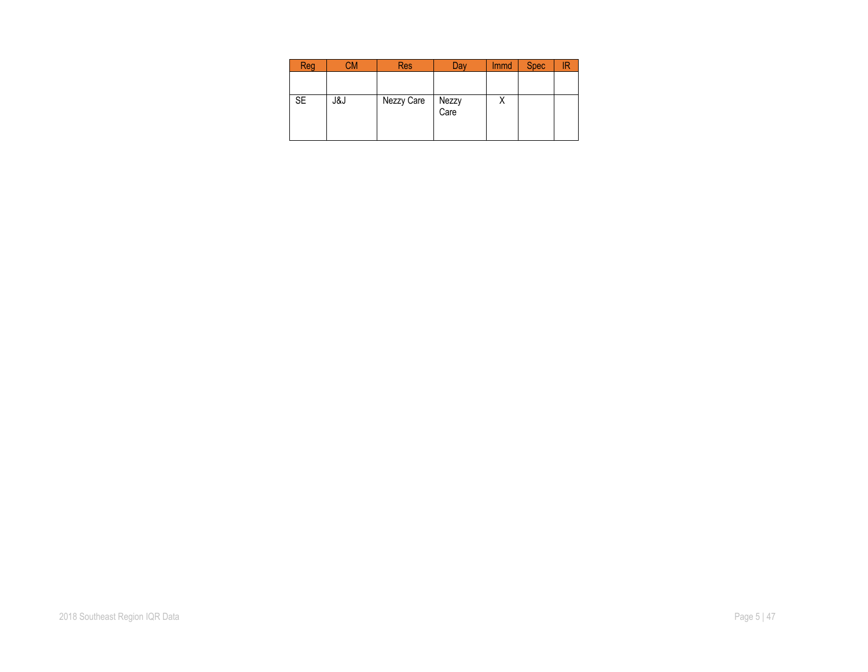| Reg       |     | Res        | Dav           | <b>Immd</b> | <b>Spec</b> |  |
|-----------|-----|------------|---------------|-------------|-------------|--|
|           |     |            |               |             |             |  |
| <b>SE</b> | კ&Ј | Nezzy Care | Nezzy<br>Care |             |             |  |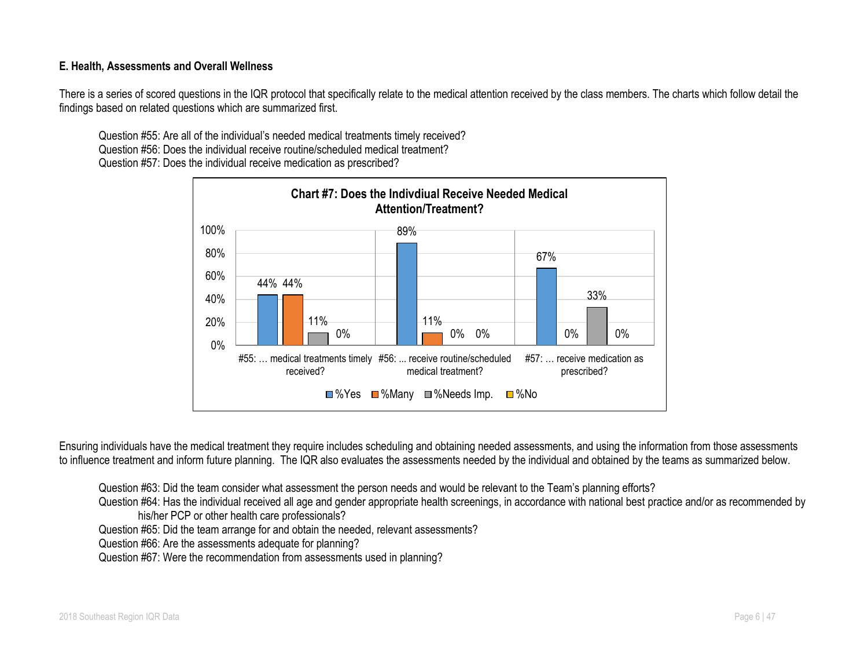## **E. Health, Assessments and Overall Wellness**

There is a series of scored questions in the IQR protocol that specifically relate to the medical attention received by the class members. The charts which follow detail the findings based on related questions which are summarized first.

Question #55: Are all of the individual's needed medical treatments timely received? Question #56: Does the individual receive routine/scheduled medical treatment? Question #57: Does the individual receive medication as prescribed?



Ensuring individuals have the medical treatment they require includes scheduling and obtaining needed assessments, and using the information from those assessments to influence treatment and inform future planning. The IQR also evaluates the assessments needed by the individual and obtained by the teams as summarized below.

Question #63: Did the team consider what assessment the person needs and would be relevant to the Team's planning efforts?

Question #64: Has the individual received all age and gender appropriate health screenings, in accordance with national best practice and/or as recommended by his/her PCP or other health care professionals?

Question #65: Did the team arrange for and obtain the needed, relevant assessments?

Question #66: Are the assessments adequate for planning?

Question #67: Were the recommendation from assessments used in planning?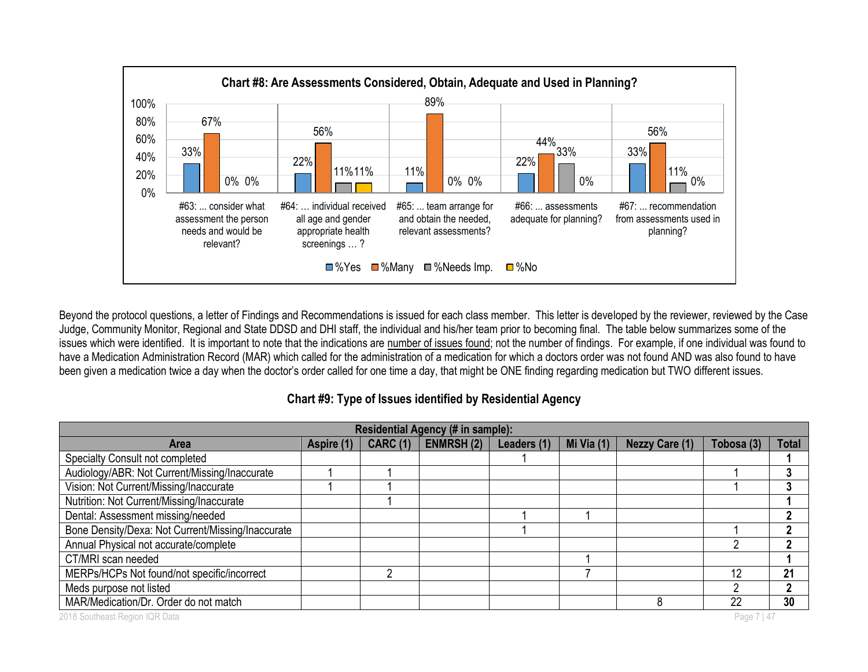

Beyond the protocol questions, a letter of Findings and Recommendations is issued for each class member. This letter is developed by the reviewer, reviewed by the Case Judge, Community Monitor, Regional and State DDSD and DHI staff, the individual and his/her team prior to becoming final. The table below summarizes some of the issues which were identified. It is important to note that the indications are number of issues found; not the number of findings. For example, if one individual was found to have a Medication Administration Record (MAR) which called for the administration of a medication for which a doctors order was not found AND was also found to have been given a medication twice a day when the doctor's order called for one time a day, that might be ONE finding regarding medication but TWO different issues.

## **Chart #9: Type of Issues identified by Residential Agency**

| Residential Agency (# in sample):                 |            |                 |                  |             |            |                       |             |              |
|---------------------------------------------------|------------|-----------------|------------------|-------------|------------|-----------------------|-------------|--------------|
| <b>Area</b>                                       | Aspire (1) | <b>CARC (1)</b> | <b>ENMRSH(2)</b> | Leaders (1) | Mi Via (1) | <b>Nezzy Care (1)</b> | Tobosa (3)  | <b>Total</b> |
| Specialty Consult not completed                   |            |                 |                  |             |            |                       |             |              |
| Audiology/ABR: Not Current/Missing/Inaccurate     |            |                 |                  |             |            |                       |             | 3            |
| Vision: Not Current/Missing/Inaccurate            |            |                 |                  |             |            |                       |             |              |
| Nutrition: Not Current/Missing/Inaccurate         |            |                 |                  |             |            |                       |             |              |
| Dental: Assessment missing/needed                 |            |                 |                  |             |            |                       |             | າ            |
| Bone Density/Dexa: Not Current/Missing/Inaccurate |            |                 |                  |             |            |                       |             | າ            |
| Annual Physical not accurate/complete             |            |                 |                  |             |            |                       |             |              |
| CT/MRI scan needed                                |            |                 |                  |             |            |                       |             |              |
| MERPs/HCPs Not found/not specific/incorrect       |            |                 |                  |             |            |                       | 12          | 21           |
| Meds purpose not listed                           |            |                 |                  |             |            |                       |             | ני           |
| MAR/Medication/Dr. Order do not match             |            |                 |                  |             |            |                       | 22          | 30           |
| 2018 Southeast Region IQR Data                    |            |                 |                  |             |            |                       | Page 7   47 |              |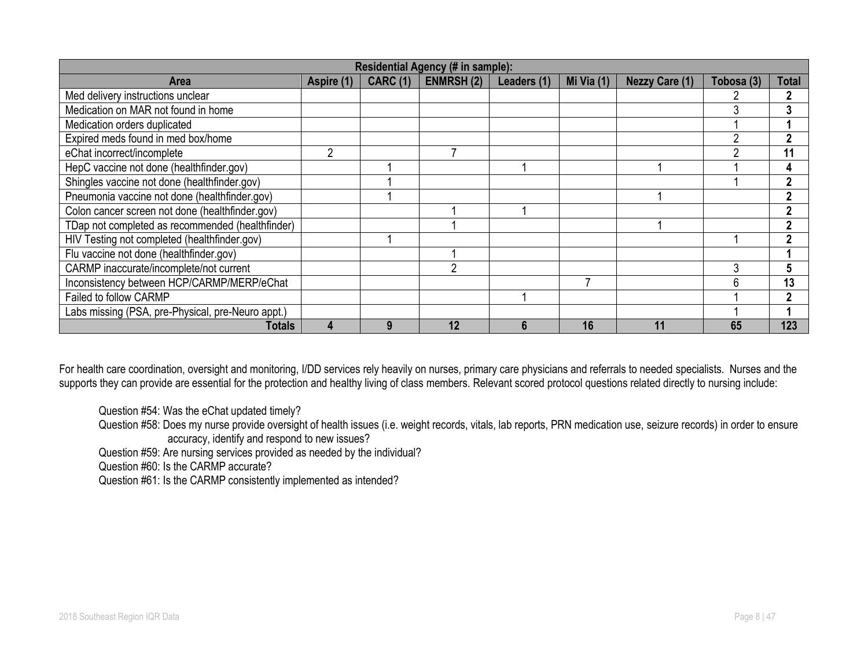|                                                   | Residential Agency (# in sample): |                 |                  |             |            |                       |            |       |
|---------------------------------------------------|-----------------------------------|-----------------|------------------|-------------|------------|-----------------------|------------|-------|
| <b>Area</b>                                       | Aspire (1)                        | <b>CARC (1)</b> | <b>ENMRSH(2)</b> | Leaders (1) | Mi Via (1) | <b>Nezzy Care (1)</b> | Tobosa (3) | Total |
| Med delivery instructions unclear                 |                                   |                 |                  |             |            |                       |            |       |
| Medication on MAR not found in home               |                                   |                 |                  |             |            |                       |            | 3     |
| Medication orders duplicated                      |                                   |                 |                  |             |            |                       |            |       |
| Expired meds found in med box/home                |                                   |                 |                  |             |            |                       |            | ŋ     |
| eChat incorrect/incomplete                        |                                   |                 |                  |             |            |                       |            | 11    |
| HepC vaccine not done (healthfinder.gov)          |                                   |                 |                  |             |            |                       |            | 4     |
| Shingles vaccine not done (healthfinder.gov)      |                                   |                 |                  |             |            |                       |            | 2     |
| Pneumonia vaccine not done (healthfinder.gov)     |                                   |                 |                  |             |            |                       |            | 2     |
| Colon cancer screen not done (healthfinder.gov)   |                                   |                 |                  |             |            |                       |            | ŋ     |
| TDap not completed as recommended (healthfinder)  |                                   |                 |                  |             |            |                       |            | າ     |
| HIV Testing not completed (healthfinder.gov)      |                                   |                 |                  |             |            |                       |            | າ     |
| Flu vaccine not done (healthfinder.gov)           |                                   |                 |                  |             |            |                       |            |       |
| CARMP inaccurate/incomplete/not current           |                                   |                 | ◠                |             |            |                       |            |       |
| Inconsistency between HCP/CARMP/MERP/eChat        |                                   |                 |                  |             |            |                       |            | 13    |
| Failed to follow CARMP                            |                                   |                 |                  |             |            |                       |            | 2     |
| Labs missing (PSA, pre-Physical, pre-Neuro appt.) |                                   |                 |                  |             |            |                       |            |       |
| Totals                                            |                                   |                 | 12               |             | 16         |                       | 65         | 123   |

For health care coordination, oversight and monitoring, I/DD services rely heavily on nurses, primary care physicians and referrals to needed specialists. Nurses and the supports they can provide are essential for the protection and healthy living of class members. Relevant scored protocol questions related directly to nursing include:

Question #54: Was the eChat updated timely?

Question #58: Does my nurse provide oversight of health issues (i.e. weight records, vitals, lab reports, PRN medication use, seizure records) in order to ensure accuracy, identify and respond to new issues?

Question #59: Are nursing services provided as needed by the individual?

Question #60: Is the CARMP accurate?

Question #61: Is the CARMP consistently implemented as intended?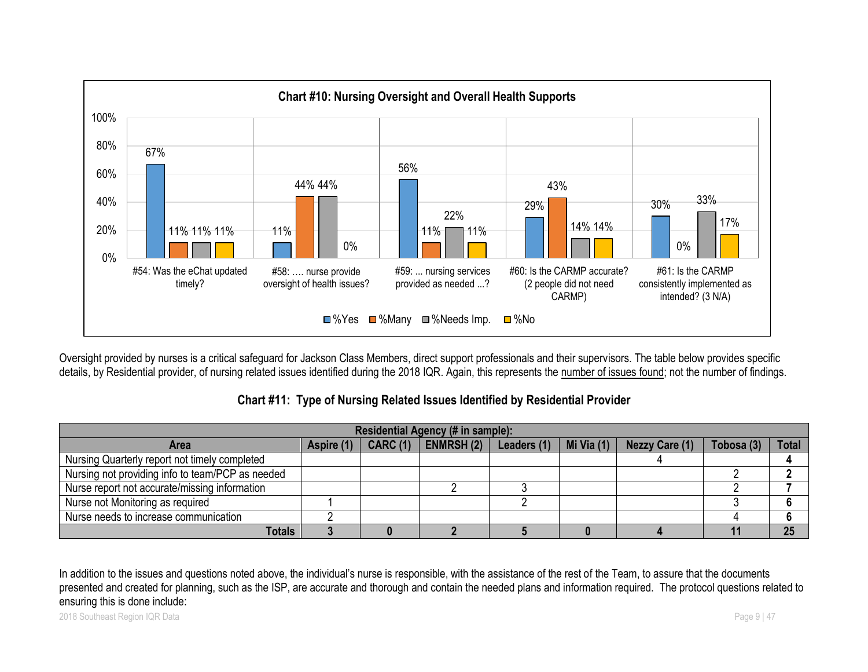

Oversight provided by nurses is a critical safeguard for Jackson Class Members, direct support professionals and their supervisors. The table below provides specific details, by Residential provider, of nursing related issues identified during the 2018 IQR. Again, this represents the number of issues found; not the number of findings.

## **Chart #11: Type of Nursing Related Issues Identified by Residential Provider**

| Residential Agency (# in sample):                |            |                 |                   |             |            |                       |            |              |
|--------------------------------------------------|------------|-----------------|-------------------|-------------|------------|-----------------------|------------|--------------|
| Area                                             | Aspire (1) | <b>CARC (1)</b> | <b>ENMRSH (2)</b> | Leaders (1) | Mi Via (1) | <b>Nezzy Care (1)</b> | Tobosa (3) | <b>Total</b> |
| Nursing Quarterly report not timely completed    |            |                 |                   |             |            |                       |            |              |
| Nursing not providing info to team/PCP as needed |            |                 |                   |             |            |                       |            |              |
| Nurse report not accurate/missing information    |            |                 |                   |             |            |                       |            |              |
| Nurse not Monitoring as required                 |            |                 |                   |             |            |                       |            |              |
| Nurse needs to increase communication            |            |                 |                   |             |            |                       |            |              |
| <b>Totals</b>                                    |            |                 |                   |             |            |                       |            | 25           |

In addition to the issues and questions noted above, the individual's nurse is responsible, with the assistance of the rest of the Team, to assure that the documents presented and created for planning, such as the ISP, are accurate and thorough and contain the needed plans and information required. The protocol questions related to ensuring this is done include: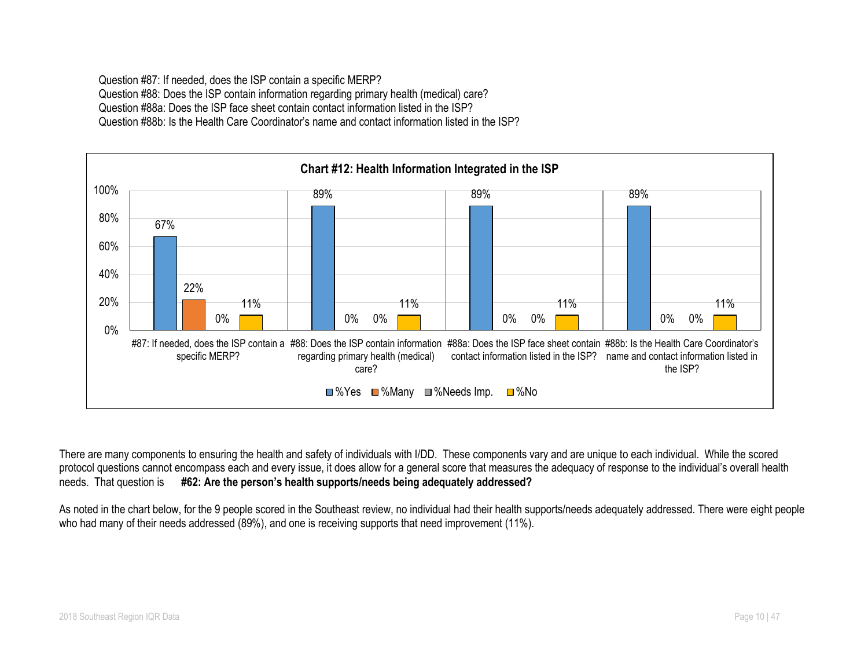Question #87: If needed, does the ISP contain a specific MERP? Question #88: Does the ISP contain information regarding primary health (medical) care? Question #88a: Does the ISP face sheet contain contact information listed in the ISP? Question #88b: Is the Health Care Coordinator's name and contact information listed in the ISP?



There are many components to ensuring the health and safety of individuals with I/DD. These components vary and are unique to each individual. While the scored protocol questions cannot encompass each and every issue, it does allow for a general score that measures the adequacy of response to the individual's overall health needs. That question is **#62: Are the person's health supports/needs being adequately addressed?**

As noted in the chart below, for the 9 people scored in the Southeast review, no individual had their health supports/needs adequately addressed. There were eight people who had many of their needs addressed (89%), and one is receiving supports that need improvement (11%).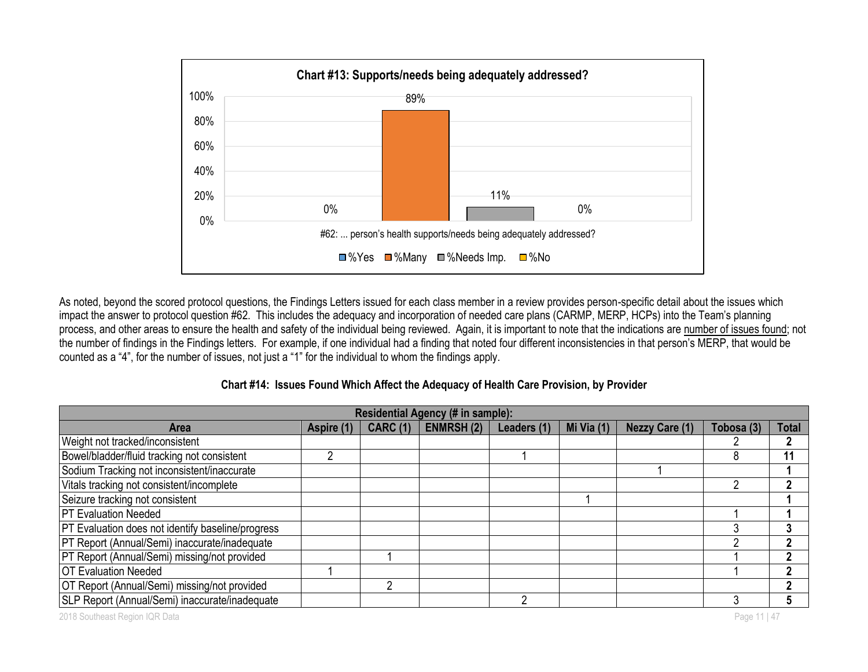

As noted, beyond the scored protocol questions, the Findings Letters issued for each class member in a review provides person-specific detail about the issues which impact the answer to protocol question #62. This includes the adequacy and incorporation of needed care plans (CARMP, MERP, HCPs) into the Team's planning process, and other areas to ensure the health and safety of the individual being reviewed. Again, it is important to note that the indications are number of issues found; not the number of findings in the Findings letters. For example, if one individual had a finding that noted four different inconsistencies in that person's MERP, that would be counted as a "4", for the number of issues, not just a "1" for the individual to whom the findings apply.

|  |  | Chart #14: Issues Found Which Affect the Adequacy of Health Care Provision, by Provider |
|--|--|-----------------------------------------------------------------------------------------|
|--|--|-----------------------------------------------------------------------------------------|

| Residential Agency (# in sample):                        |            |                 |                  |             |            |                       |            |       |
|----------------------------------------------------------|------------|-----------------|------------------|-------------|------------|-----------------------|------------|-------|
| <b>Area</b>                                              | Aspire (1) | <b>CARC (1)</b> | <b>ENMRSH(2)</b> | Leaders (1) | Mi Via (1) | <b>Nezzy Care (1)</b> | Tobosa (3) | Total |
| Weight not tracked/inconsistent                          |            |                 |                  |             |            |                       |            |       |
| Bowel/bladder/fluid tracking not consistent              |            |                 |                  |             |            |                       |            | 11    |
| Sodium Tracking not inconsistent/inaccurate              |            |                 |                  |             |            |                       |            |       |
| Vitals tracking not consistent/incomplete                |            |                 |                  |             |            |                       |            |       |
| Seizure tracking not consistent                          |            |                 |                  |             |            |                       |            |       |
| <b>PT Evaluation Needed</b>                              |            |                 |                  |             |            |                       |            |       |
| <b>PT Evaluation does not identify baseline/progress</b> |            |                 |                  |             |            |                       |            |       |
| PT Report (Annual/Semi) inaccurate/inadequate            |            |                 |                  |             |            |                       |            |       |
| PT Report (Annual/Semi) missing/not provided             |            |                 |                  |             |            |                       |            |       |
| <b>OT Evaluation Needed</b>                              |            |                 |                  |             |            |                       |            |       |
| OT Report (Annual/Semi) missing/not provided             |            |                 |                  |             |            |                       |            |       |
| SLP Report (Annual/Semi) inaccurate/inadequate           |            |                 |                  |             |            |                       |            |       |

2018 Southeast Region IQR Data **Page 11 | 47** November 2018 Southeast Region IQR Data Page 11 | 47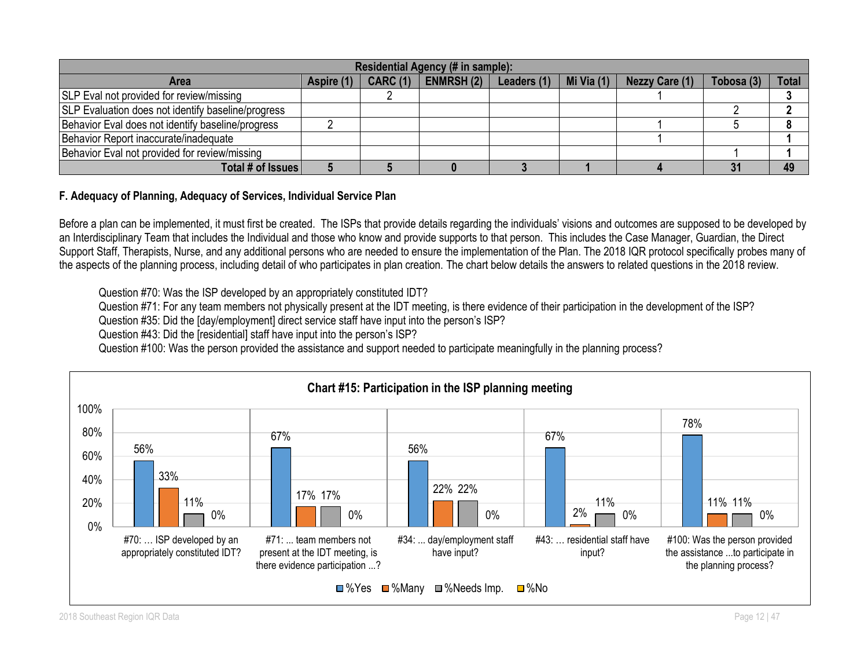| Residential Agency (# in sample):                         |                                                                                                                                         |  |  |  |  |  |    |    |  |  |
|-----------------------------------------------------------|-----------------------------------------------------------------------------------------------------------------------------------------|--|--|--|--|--|----|----|--|--|
| Area                                                      | <b>Total</b><br>Mi Via $(1)$<br><b>ENMRSH(2)</b><br><b>CARC (1)</b><br>Tobosa (3)<br><b>Nezzy Care (1)</b><br>Leaders (1)<br>Aspire (1) |  |  |  |  |  |    |    |  |  |
| SLP Eval not provided for review/missing                  |                                                                                                                                         |  |  |  |  |  |    |    |  |  |
| <b>SLP Evaluation does not identify baseline/progress</b> |                                                                                                                                         |  |  |  |  |  |    |    |  |  |
| Behavior Eval does not identify baseline/progress         |                                                                                                                                         |  |  |  |  |  |    |    |  |  |
| Behavior Report inaccurate/inadequate                     |                                                                                                                                         |  |  |  |  |  |    |    |  |  |
| Behavior Eval not provided for review/missing             |                                                                                                                                         |  |  |  |  |  |    |    |  |  |
| Total # of Issues                                         |                                                                                                                                         |  |  |  |  |  | 31 | 49 |  |  |

## **F. Adequacy of Planning, Adequacy of Services, Individual Service Plan**

Before a plan can be implemented, it must first be created. The ISPs that provide details regarding the individuals' visions and outcomes are supposed to be developed by an Interdisciplinary Team that includes the Individual and those who know and provide supports to that person. This includes the Case Manager, Guardian, the Direct Support Staff, Therapists, Nurse, and any additional persons who are needed to ensure the implementation of the Plan. The 2018 IQR protocol specifically probes many of the aspects of the planning process, including detail of who participates in plan creation. The chart below details the answers to related questions in the 2018 review.

Question #70: Was the ISP developed by an appropriately constituted IDT?

Question #71: For any team members not physically present at the IDT meeting, is there evidence of their participation in the development of the ISP?

Question #35: Did the [day/employment] direct service staff have input into the person's ISP?

Question #43: Did the [residential] staff have input into the person's ISP?

Question #100: Was the person provided the assistance and support needed to participate meaningfully in the planning process?

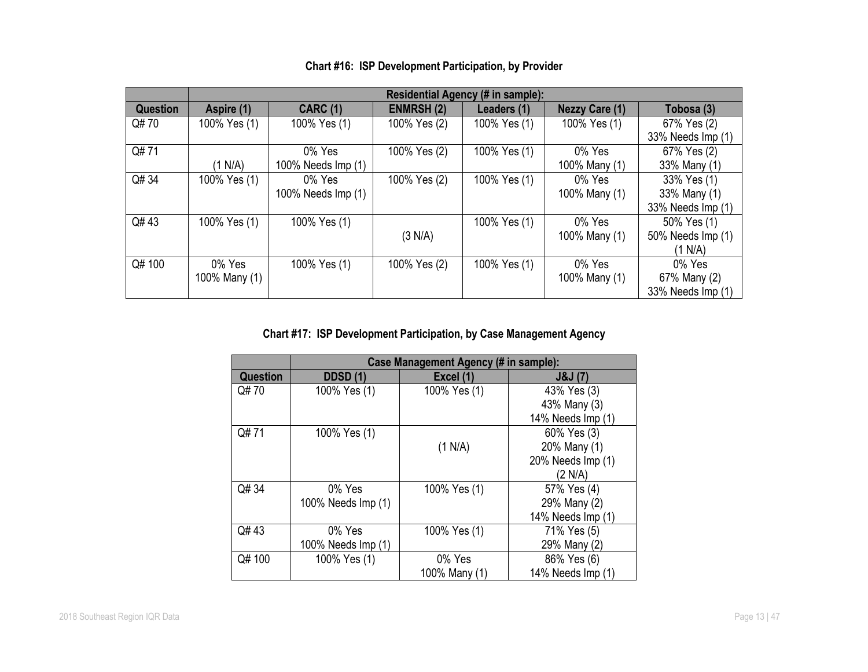|                 | <b>Residential Agency (# in sample):</b> |                    |                  |              |                       |                   |  |  |
|-----------------|------------------------------------------|--------------------|------------------|--------------|-----------------------|-------------------|--|--|
| <b>Question</b> | Aspire (1)                               | <b>CARC (1)</b>    | <b>ENMRSH(2)</b> | Leaders (1)  | <b>Nezzy Care (1)</b> | Tobosa (3)        |  |  |
| Q#70            | 100% Yes (1)                             | 100% Yes (1)       | 100% Yes (2)     | 100% Yes (1) | 100% Yes (1)          | 67% Yes (2)       |  |  |
|                 |                                          |                    |                  |              |                       | 33% Needs Imp (1) |  |  |
| Q#71            |                                          | 0% Yes             | 100% Yes (2)     | 100% Yes (1) | 0% Yes                | 67% Yes (2)       |  |  |
|                 | (1 N/A)                                  | 100% Needs Imp (1) |                  |              | 100% Many (1)         | 33% Many (1)      |  |  |
| Q# 34           | 100% Yes (1)                             | 0% Yes             | 100% Yes (2)     | 100% Yes (1) | 0% Yes                | 33% Yes (1)       |  |  |
|                 |                                          | 100% Needs Imp (1) |                  |              | 100% Many (1)         | 33% Many (1)      |  |  |
|                 |                                          |                    |                  |              |                       | 33% Needs Imp (1) |  |  |
| Q#43            | 100% Yes (1)                             | 100% Yes (1)       |                  | 100% Yes (1) | 0% Yes                | 50% Yes (1)       |  |  |
|                 |                                          |                    | (3 N/A)          |              | 100% Many (1)         | 50% Needs Imp (1) |  |  |
|                 |                                          |                    |                  |              |                       | (1 N/A)           |  |  |
| Q# 100          | 0% Yes                                   | 100% Yes (1)       | 100% Yes (2)     | 100% Yes (1) | 0% Yes                | 0% Yes            |  |  |
|                 | 100% Many (1)                            |                    |                  |              | 100% Many (1)         | 67% Many (2)      |  |  |
|                 |                                          |                    |                  |              |                       | 33% Needs Imp (1) |  |  |

## **Chart #16: ISP Development Participation, by Provider**

## **Chart #17: ISP Development Participation, by Case Management Agency**

|                 |                    | Case Management Agency (# in sample): |                    |
|-----------------|--------------------|---------------------------------------|--------------------|
| <b>Question</b> | <b>DDSD</b> (1)    | Excel (1)                             | <b>J&amp;J</b> (7) |
| Q#70            | 100% Yes (1)       | 100% Yes (1)                          | 43% Yes (3)        |
|                 |                    |                                       | 43% Many (3)       |
|                 |                    |                                       | 14% Needs Imp (1)  |
| Q#71            | 100% Yes (1)       |                                       | 60% Yes (3)        |
|                 |                    | (1 N/A)                               | 20% Many (1)       |
|                 |                    |                                       | 20% Needs Imp (1)  |
|                 |                    |                                       | (2 N/A)            |
| Q# 34           | 0% Yes             | 100% Yes (1)                          | 57% Yes (4)        |
|                 | 100% Needs Imp (1) |                                       | 29% Many (2)       |
|                 |                    |                                       | 14% Needs Imp (1)  |
| Q#43            | 0% Yes             | 100% Yes (1)                          | 71% Yes (5)        |
|                 | 100% Needs Imp (1) |                                       | 29% Many (2)       |
| Q#100           | 100% Yes (1)       | 0% Yes                                | 86% Yes (6)        |
|                 |                    | 100% Many (1)                         | 14% Needs Imp (1)  |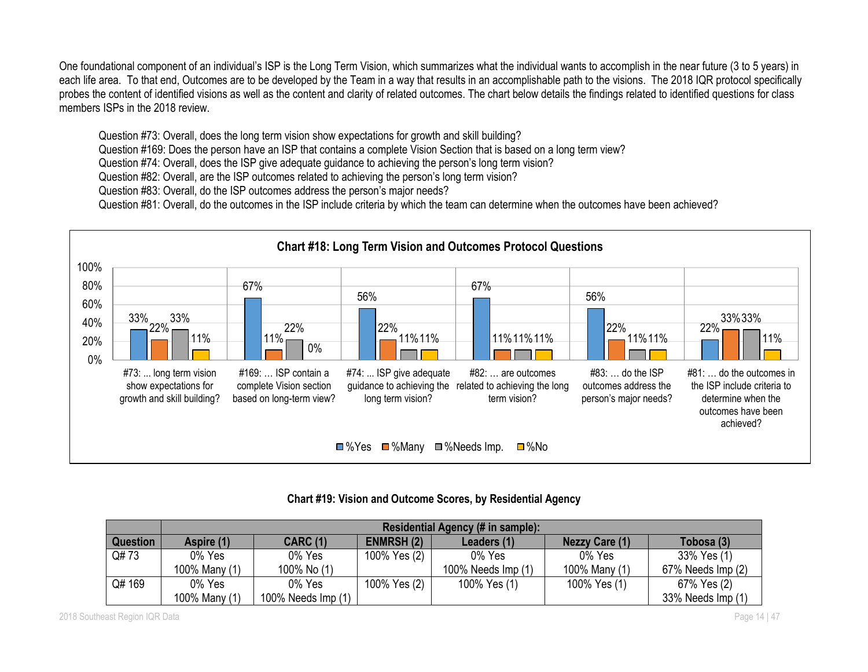One foundational component of an individual's ISP is the Long Term Vision, which summarizes what the individual wants to accomplish in the near future (3 to 5 years) in each life area. To that end, Outcomes are to be developed by the Team in a way that results in an accomplishable path to the visions. The 2018 IQR protocol specifically probes the content of identified visions as well as the content and clarity of related outcomes. The chart below details the findings related to identified questions for class members ISPs in the 2018 review.

Question #73: Overall, does the long term vision show expectations for growth and skill building?

Question #169: Does the person have an ISP that contains a complete Vision Section that is based on a long term view?

Question #74: Overall, does the ISP give adequate guidance to achieving the person's long term vision?

Question #82: Overall, are the ISP outcomes related to achieving the person's long term vision?

Question #83: Overall, do the ISP outcomes address the person's major needs?

Question #81: Overall, do the outcomes in the ISP include criteria by which the team can determine when the outcomes have been achieved?



## **Chart #19: Vision and Outcome Scores, by Residential Agency**

|                 | Residential Agency (# in sample): |                    |                  |                    |                       |                   |  |  |
|-----------------|-----------------------------------|--------------------|------------------|--------------------|-----------------------|-------------------|--|--|
| <b>Question</b> | Aspire (1)                        | <b>CARC (1)</b>    | <b>ENMRSH(2)</b> | Leaders (1)        | <b>Nezzy Care (1)</b> | Tobosa (3)        |  |  |
| Q#73            | 0% Yes                            | 0% Yes             | 100% Yes (2)     | 0% Yes             | 0% Yes                | 33% Yes (1)       |  |  |
|                 | 100% Many (1)                     | 100% No (1)        |                  | 100% Needs Imp (1) | 100% Many (1)         | 67% Needs Imp (2) |  |  |
| Q# 169          | 0% Yes                            | 0% Yes             | 100% Yes (2)     | 100% Yes (1)       | 100% Yes (1)          | 67% Yes (2)       |  |  |
|                 | 100% Many (1)                     | 100% Needs Imp (1) |                  |                    |                       | 33% Needs Imp (1) |  |  |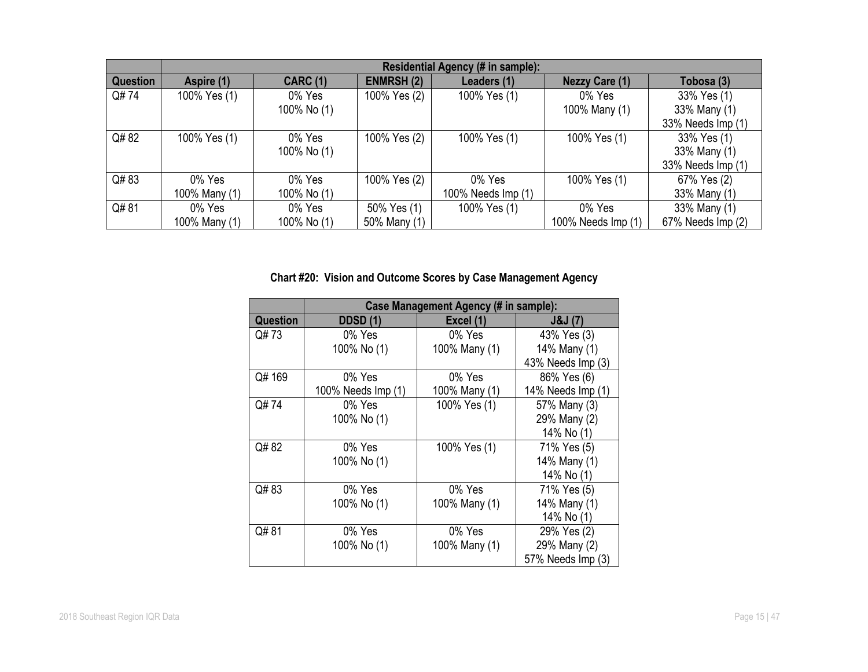|                 | Residential Agency (# in sample): |                 |                  |                    |                       |                   |  |  |
|-----------------|-----------------------------------|-----------------|------------------|--------------------|-----------------------|-------------------|--|--|
| <b>Question</b> | Aspire (1)                        | <b>CARC (1)</b> | <b>ENMRSH(2)</b> | Leaders (1)        | <b>Nezzy Care (1)</b> | Tobosa (3)        |  |  |
| Q#74            | 100% Yes (1)                      | 0% Yes          | 100% Yes (2)     | 100% Yes (1)       | 0% Yes                | 33% Yes (1)       |  |  |
|                 |                                   | 100% No (1)     |                  |                    | 100% Many (1)         | 33% Many (1)      |  |  |
|                 |                                   |                 |                  |                    |                       | 33% Needs Imp (1) |  |  |
| Q#82            | 100% Yes (1)                      | 0% Yes          | 100% Yes (2)     | 100% Yes (1)       | 100% Yes (1)          | 33% Yes (1)       |  |  |
|                 |                                   | 100% No (1)     |                  |                    |                       | 33% Many (1)      |  |  |
|                 |                                   |                 |                  |                    |                       | 33% Needs Imp (1) |  |  |
| Q#83            | 0% Yes                            | 0% Yes          | 100% Yes (2)     | 0% Yes             | 100% Yes (1)          | 67% Yes (2)       |  |  |
|                 | 100% Many (1)                     | 100% No (1)     |                  | 100% Needs Imp (1) |                       | 33% Many (1)      |  |  |
| Q#81            | 0% Yes                            | 0% Yes          | 50% Yes (1)      | 100% Yes (1)       | 0% Yes                | 33% Many (1)      |  |  |
|                 | 100% Many (1)                     | 100% No (1)     | 50% Many (1)     |                    | 100% Needs Imp (1)    | 67% Needs Imp (2) |  |  |

# **Chart #20: Vision and Outcome Scores by Case Management Agency**

|                 |                    | <b>Case Management Agency (# in sample):</b> |                   |
|-----------------|--------------------|----------------------------------------------|-------------------|
| <b>Question</b> | <b>DDSD (1)</b>    | Excel (1)                                    | J&J(7)            |
| Q#73            | 0% Yes             | 0% Yes                                       | 43% Yes (3)       |
|                 | 100% No (1)        | 100% Many (1)                                | 14% Many (1)      |
|                 |                    |                                              | 43% Needs Imp (3) |
| Q#169           | 0% Yes             | 0% Yes                                       | 86% Yes (6)       |
|                 | 100% Needs Imp (1) | 100% Many (1)                                | 14% Needs Imp (1) |
| Q# 74           | 0% Yes             | 100% Yes (1)                                 | 57% Many (3)      |
|                 | 100% No (1)        |                                              | 29% Many (2)      |
|                 |                    |                                              | 14% No (1)        |
| Q# 82           | 0% Yes             | 100% Yes (1)                                 | 71% Yes (5)       |
|                 | 100% No (1)        |                                              | 14% Many (1)      |
|                 |                    |                                              | 14% No (1)        |
| Q#83            | 0% Yes             | 0% Yes                                       | 71% Yes (5)       |
|                 | 100% No (1)        | 100% Many (1)                                | 14% Many (1)      |
|                 |                    |                                              | 14% No (1)        |
| Q#81            | 0% Yes             | 0% Yes                                       | 29% Yes (2)       |
|                 | 100% No (1)        | 100% Many (1)                                | 29% Many (2)      |
|                 |                    |                                              | 57% Needs Imp (3) |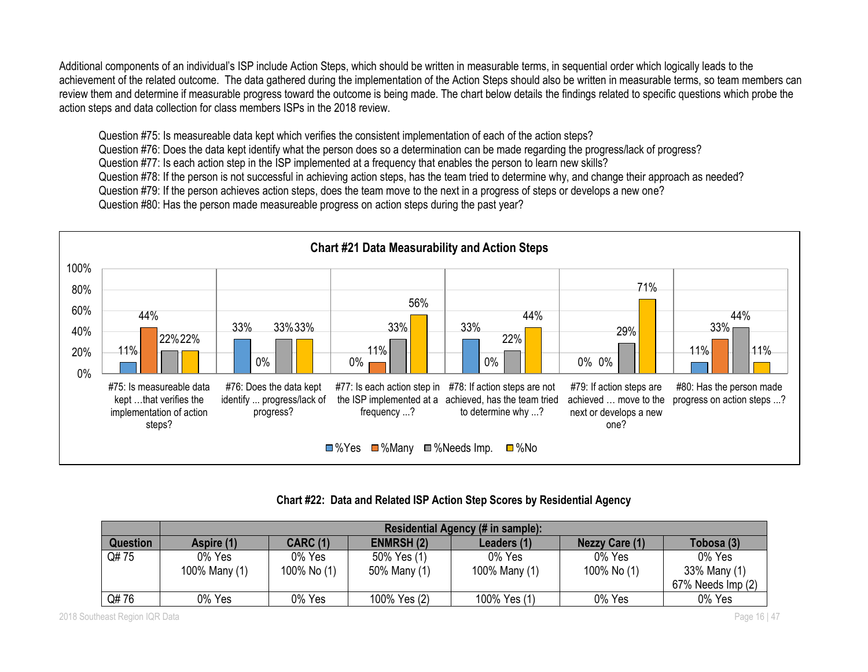Additional components of an individual's ISP include Action Steps, which should be written in measurable terms, in sequential order which logically leads to the achievement of the related outcome. The data gathered during the implementation of the Action Steps should also be written in measurable terms, so team members can review them and determine if measurable progress toward the outcome is being made. The chart below details the findings related to specific questions which probe the action steps and data collection for class members ISPs in the 2018 review.

Question #75: Is measureable data kept which verifies the consistent implementation of each of the action steps?

Question #76: Does the data kept identify what the person does so a determination can be made regarding the progress/lack of progress?

Question #77: Is each action step in the ISP implemented at a frequency that enables the person to learn new skills?

Question #78: If the person is not successful in achieving action steps, has the team tried to determine why, and change their approach as needed?

Question #79: If the person achieves action steps, does the team move to the next in a progress of steps or develops a new one?

Question #80: Has the person made measureable progress on action steps during the past year?



## **Chart #22: Data and Related ISP Action Step Scores by Residential Agency**

|                 | <b>Residential Agency (# in sample):</b> |                       |                             |                         |                       |                        |  |  |
|-----------------|------------------------------------------|-----------------------|-----------------------------|-------------------------|-----------------------|------------------------|--|--|
| <b>Question</b> | Aspire (1)                               | <b>CARC (1)</b>       | <b>ENMRSH (2)</b>           | Leaders (1)             | <b>Nezzy Care (1)</b> | Tobosa (3)             |  |  |
| Q#75            | 0% Yes<br>100% Many (1)                  | 0% Yes<br>100% No (1) | 50% Yes (1)<br>50% Many (1) | 0% Yes<br>100% Many (1) | 0% Yes<br>100% No (1) | 0% Yes<br>33% Many (1) |  |  |
|                 |                                          |                       |                             |                         |                       | 67% Needs Imp (2)      |  |  |
| Q#76            | 0% Yes                                   | 0% Yes                | 100% Yes (2)                | 100% Yes (1)            | 0% Yes                | 0% Yes                 |  |  |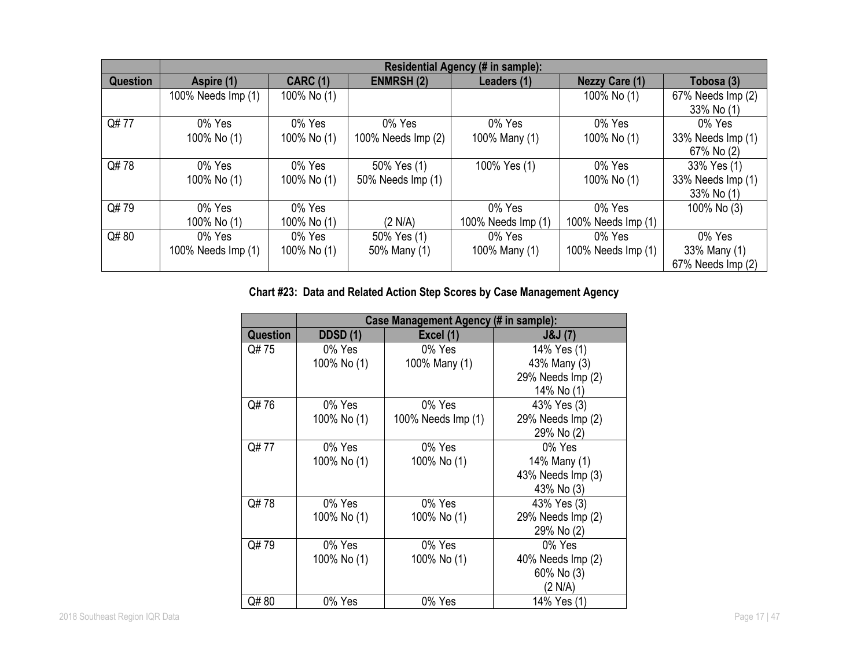|                 | <b>Residential Agency</b><br>$($ # in sample $)$ : |                 |                    |                    |                       |                   |  |
|-----------------|----------------------------------------------------|-----------------|--------------------|--------------------|-----------------------|-------------------|--|
| <b>Question</b> | Aspire (1)                                         | <b>CARC (1)</b> | <b>ENMRSH(2)</b>   | Leaders (1)        | <b>Nezzy Care (1)</b> | Tobosa (3)        |  |
|                 | 100% Needs Imp (1)                                 | 100% No (1)     |                    |                    | 100% No (1)           | 67% Needs Imp (2) |  |
|                 |                                                    |                 |                    |                    |                       | 33% No (1)        |  |
| Q#77            | 0% Yes                                             | 0% Yes          | 0% Yes             | 0% Yes             | 0% Yes                | 0% Yes            |  |
|                 | 100% No (1)                                        | 100% No (1)     | 100% Needs Imp (2) | 100% Many (1)      | 100% No (1)           | 33% Needs Imp (1) |  |
|                 |                                                    |                 |                    |                    |                       | 67% No (2)        |  |
| Q#78            | 0% Yes                                             | 0% Yes          | 50% Yes (1)        | 100% Yes (1)       | 0% Yes                | 33% Yes (1)       |  |
|                 | 100% No (1)                                        | 100% No (1)     | 50% Needs Imp (1)  |                    | 100% No (1)           | 33% Needs Imp (1) |  |
|                 |                                                    |                 |                    |                    |                       | 33% No (1)        |  |
| Q#79            | $0\%$ Yes                                          | 0% Yes          |                    | 0% Yes             | 0% Yes                | 100% No (3)       |  |
|                 | 100% No (1)                                        | 100% No (1)     | (2 N/A)            | 100% Needs Imp (1) | 100% Needs Imp (1)    |                   |  |
| Q#80            | 0% Yes                                             | 0% Yes          | 50% Yes (1)        | 0% Yes             | $0\%$ Yes             | 0% Yes            |  |
|                 | 100% Needs Imp (1)                                 | 100% No (1)     | 50% Many (1)       | 100% Many (1)      | 100% Needs Imp (1)    | 33% Many (1)      |  |
|                 |                                                    |                 |                    |                    |                       | 67% Needs Imp (2) |  |

## **Chart #23: Data and Related Action Step Scores by Case Management Agency**

|                 | Case Management Agency (# in sample): |                    |                               |  |  |  |
|-----------------|---------------------------------------|--------------------|-------------------------------|--|--|--|
| <b>Question</b> | <b>DDSD (1)</b>                       | Excel (1)          | <b>J&amp;J</b> (7)            |  |  |  |
| Q# 75           | 0% Yes                                | 0% Yes             | 14% Yes (1)                   |  |  |  |
|                 | 100% No (1)                           | 100% Many (1)      | 43% Many (3)                  |  |  |  |
|                 |                                       |                    | 29% Needs Imp (2)             |  |  |  |
|                 |                                       |                    | 14% No (1)                    |  |  |  |
| Q#76            | 0% Yes                                | 0% Yes             | 43% Yes (3)                   |  |  |  |
|                 | 100% No (1)                           | 100% Needs Imp (1) | 29% Needs Imp (2)             |  |  |  |
|                 |                                       |                    | 29% No (2)                    |  |  |  |
| Q#77            | 0% Yes                                | 0% Yes             | 0% Yes                        |  |  |  |
|                 | 100% No (1)                           | 100% No (1)        | 14% Many (1)                  |  |  |  |
|                 |                                       |                    | 43% Needs Imp (3)             |  |  |  |
|                 |                                       |                    | 43% No (3)                    |  |  |  |
| Q#78            | 0% Yes                                | 0% Yes             | 43% Yes (3)                   |  |  |  |
|                 | 100% No (1)                           | 100% No (1)        | 29% Needs Imp (2)             |  |  |  |
|                 |                                       |                    | 29% No (2)                    |  |  |  |
| Q#79            | 0% Yes                                | 0% Yes             | 0% Yes                        |  |  |  |
|                 | 100% No (1)                           | 100% No (1)        | $40\%$ Needs $\text{Imp} (2)$ |  |  |  |
|                 |                                       |                    | 60% No (3)                    |  |  |  |
|                 |                                       |                    | (2 N/A)                       |  |  |  |
| Q# 80           | 0% Yes                                | 0% Yes             | 14% Yes (1)                   |  |  |  |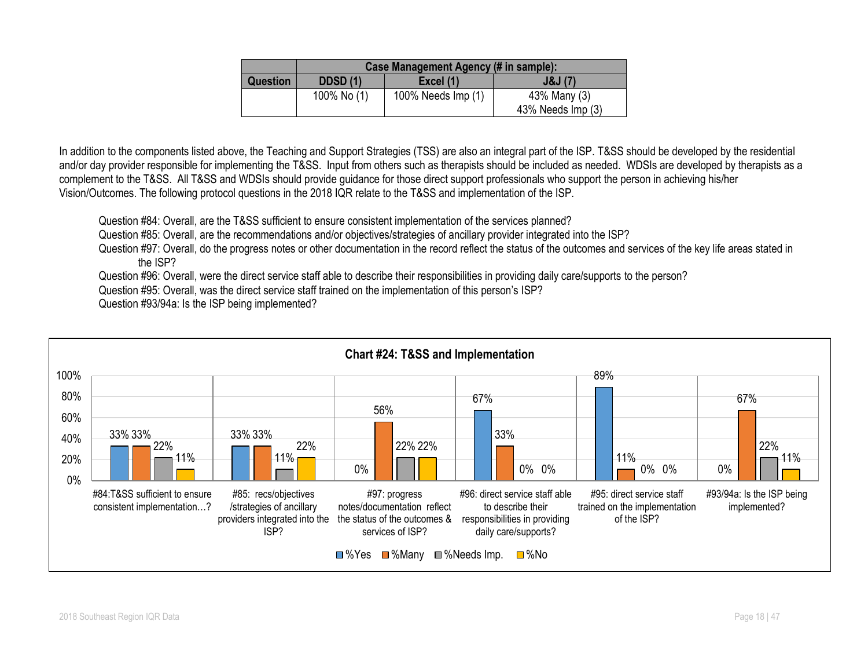|                 | Case Management Agency (# in sample): |                     |                               |  |  |  |  |  |
|-----------------|---------------------------------------|---------------------|-------------------------------|--|--|--|--|--|
| <b>Question</b> | <b>DDSD (1)</b>                       | J&J(7)<br>Excel (1) |                               |  |  |  |  |  |
|                 | 100% No (1)                           | 100% Needs Imp (1)  | 43% Many (3)                  |  |  |  |  |  |
|                 |                                       |                     | $43\%$ Needs $\text{Imp} (3)$ |  |  |  |  |  |

In addition to the components listed above, the Teaching and Support Strategies (TSS) are also an integral part of the ISP. T&SS should be developed by the residential and/or day provider responsible for implementing the T&SS. Input from others such as therapists should be included as needed. WDSIs are developed by therapists as a complement to the T&SS. All T&SS and WDSIs should provide guidance for those direct support professionals who support the person in achieving his/her Vision/Outcomes. The following protocol questions in the 2018 IQR relate to the T&SS and implementation of the ISP.

Question #84: Overall, are the T&SS sufficient to ensure consistent implementation of the services planned?

Question #85: Overall, are the recommendations and/or objectives/strategies of ancillary provider integrated into the ISP?

Question #97: Overall, do the progress notes or other documentation in the record reflect the status of the outcomes and services of the key life areas stated in the ISP?

Question #96: Overall, were the direct service staff able to describe their responsibilities in providing daily care/supports to the person?

Question #95: Overall, was the direct service staff trained on the implementation of this person's ISP?

Question #93/94a: Is the ISP being implemented?

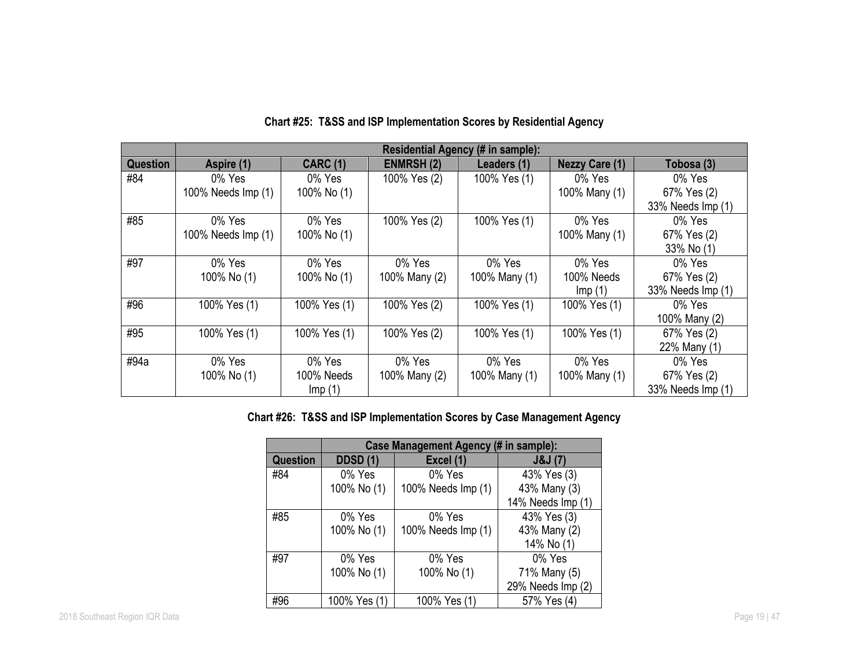|                 |                    | <b>Residential Agency (# in sample):</b> |                   |               |                       |                   |  |  |  |
|-----------------|--------------------|------------------------------------------|-------------------|---------------|-----------------------|-------------------|--|--|--|
| <b>Question</b> | Aspire (1)         | <b>CARC (1)</b>                          | <b>ENMRSH (2)</b> | Leaders (1)   | <b>Nezzy Care (1)</b> | Tobosa (3)        |  |  |  |
| #84             | 0% Yes             | 0% Yes                                   | 100% Yes (2)      | 100% Yes (1)  | 0% Yes                | 0% Yes            |  |  |  |
|                 | 100% Needs Imp (1) | 100% No (1)                              |                   |               | 100% Many (1)         | 67% Yes (2)       |  |  |  |
|                 |                    |                                          |                   |               |                       | 33% Needs Imp (1) |  |  |  |
| #85             | 0% Yes             | 0% Yes                                   | 100% Yes (2)      | 100% Yes (1)  | 0% Yes                | 0% Yes            |  |  |  |
|                 | 100% Needs Imp (1) | 100% No (1)                              |                   |               | 100% Many (1)         | 67% Yes (2)       |  |  |  |
|                 |                    |                                          |                   |               |                       | 33% No (1)        |  |  |  |
| #97             | 0% Yes             | 0% Yes                                   | 0% Yes            | 0% Yes        | 0% Yes                | 0% Yes            |  |  |  |
|                 | 100% No (1)        | 100% No (1)                              | 100% Many (2)     | 100% Many (1) | 100% Needs            | 67% Yes (2)       |  |  |  |
|                 |                    |                                          |                   |               | Imp(1)                | 33% Needs Imp (1) |  |  |  |
| #96             | 100% Yes (1)       | 100% Yes (1)                             | 100% Yes (2)      | 100% Yes (1)  | 100% Yes (1)          | 0% Yes            |  |  |  |
|                 |                    |                                          |                   |               |                       | 100% Many (2)     |  |  |  |
| #95             | 100% Yes (1)       | 100% Yes (1)                             | 100% Yes (2)      | 100% Yes (1)  | 100% Yes (1)          | 67% Yes (2)       |  |  |  |
|                 |                    |                                          |                   |               |                       | 22% Many (1)      |  |  |  |
| #94a            | 0% Yes             | 0% Yes                                   | 0% Yes            | 0% Yes        | 0% Yes                | 0% Yes            |  |  |  |
|                 | 100% No (1)        | 100% Needs                               | 100% Many (2)     | 100% Many (1) | 100% Many (1)         | 67% Yes (2)       |  |  |  |
|                 |                    | Imp(1)                                   |                   |               |                       | 33% Needs Imp (1) |  |  |  |

## **Chart #25: T&SS and ISP Implementation Scores by Residential Agency**

## **Chart #26: T&SS and ISP Implementation Scores by Case Management Agency**

|                 | Case Management Agency (# in sample): |                    |                   |  |  |  |  |
|-----------------|---------------------------------------|--------------------|-------------------|--|--|--|--|
| <b>Question</b> | <b>DDSD (1)</b>                       | Excel (1)          | J&J(7)            |  |  |  |  |
| #84             | 0% Yes                                | 0% Yes             | 43% Yes (3)       |  |  |  |  |
|                 | 100% No (1)                           | 100% Needs Imp (1) | 43% Many (3)      |  |  |  |  |
|                 |                                       |                    | 14% Needs Imp (1) |  |  |  |  |
| #85             | 0% Yes                                | 0% Yes             | 43% Yes (3)       |  |  |  |  |
|                 | 100% No (1)                           | 100% Needs Imp (1) | 43% Many (2)      |  |  |  |  |
|                 |                                       |                    | 14% No (1)        |  |  |  |  |
| #97             | 0% Yes                                | 0% Yes             | 0% Yes            |  |  |  |  |
|                 | 100% No (1)                           | 100% No (1)        | 71% Many (5)      |  |  |  |  |
|                 |                                       |                    | 29% Needs Imp (2) |  |  |  |  |
| #96             | 100% Yes (1)                          | 100% Yes (1)       | 57% Yes (4)       |  |  |  |  |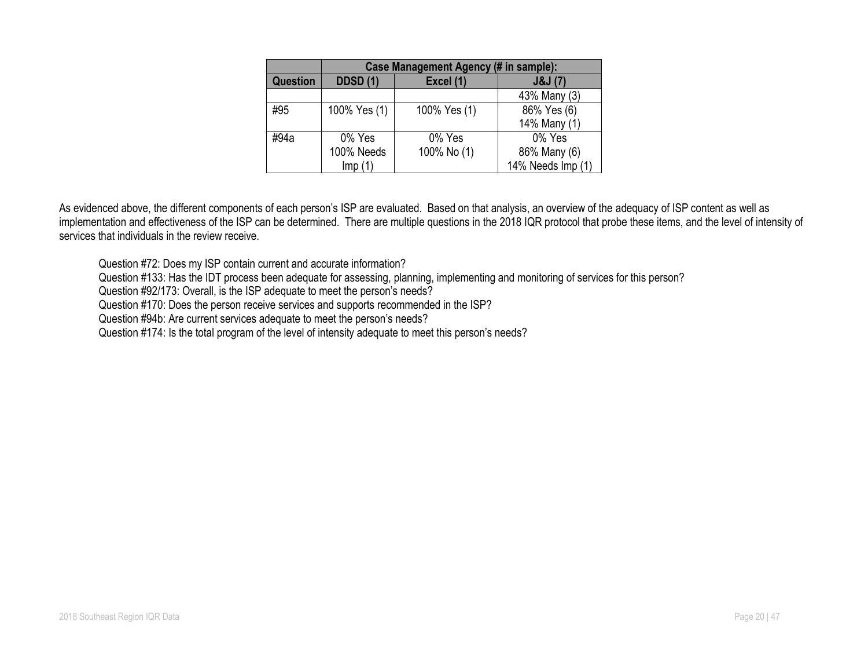|          | Case Management Agency (# in sample): |              |                   |  |  |
|----------|---------------------------------------|--------------|-------------------|--|--|
| Question | <b>DDSD (1)</b>                       | J&J(7)       |                   |  |  |
|          |                                       |              | 43% Many (3)      |  |  |
| #95      | 100% Yes (1)                          | 100% Yes (1) | 86% Yes (6)       |  |  |
|          |                                       |              | 14% Many (1)      |  |  |
| #94a     | 0% Yes                                | 0% Yes       | 0% Yes            |  |  |
|          | 100% Needs                            | 100% No (1)  | 86% Many (6)      |  |  |
|          | Imp(1)                                |              | 14% Needs Imp (1) |  |  |

As evidenced above, the different components of each person's ISP are evaluated. Based on that analysis, an overview of the adequacy of ISP content as well as implementation and effectiveness of the ISP can be determined. There are multiple questions in the 2018 IQR protocol that probe these items, and the level of intensity of services that individuals in the review receive.

Question #72: Does my ISP contain current and accurate information?

Question #133: Has the IDT process been adequate for assessing, planning, implementing and monitoring of services for this person?

Question #92/173: Overall, is the ISP adequate to meet the person's needs?

Question #170: Does the person receive services and supports recommended in the ISP?

Question #94b: Are current services adequate to meet the person's needs?

Question #174: Is the total program of the level of intensity adequate to meet this person's needs?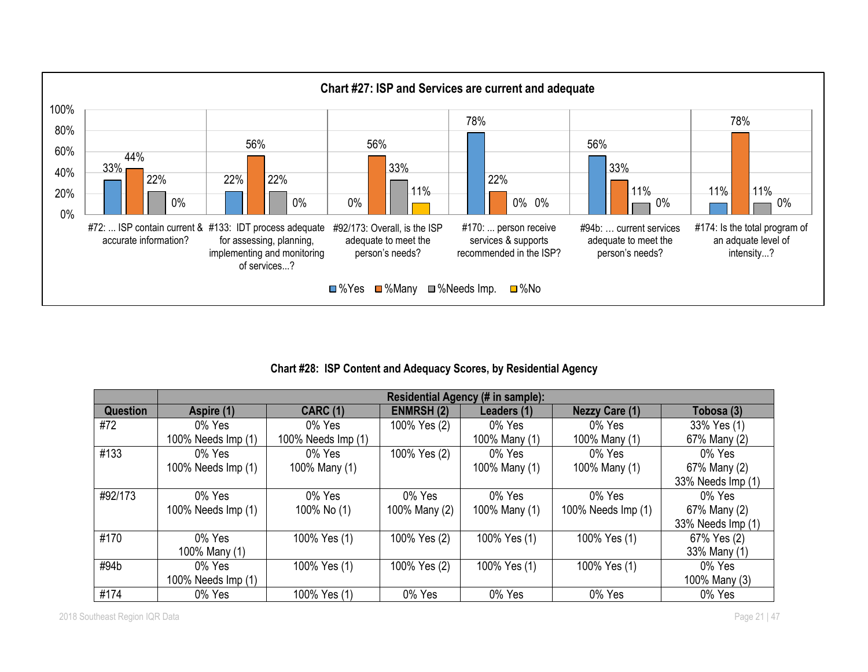

## **Chart #28: ISP Content and Adequacy Scores, by Residential Agency**

|                 | Residential Agency (# in sample): |                    |                   |               |                       |                   |  |  |
|-----------------|-----------------------------------|--------------------|-------------------|---------------|-----------------------|-------------------|--|--|
| <b>Question</b> | Aspire (1)                        | <b>CARC (1)</b>    | <b>ENMRSH (2)</b> | Leaders (1)   | <b>Nezzy Care (1)</b> | Tobosa (3)        |  |  |
| #72             | $0\%$ Yes                         | 0% Yes             | 100% Yes (2)      | 0% Yes        | 0% Yes                | 33% Yes (1)       |  |  |
|                 | 100% Needs Imp (1)                | 100% Needs Imp (1) |                   | 100% Many (1) | 100% Many (1)         | 67% Many (2)      |  |  |
| #133            | 0% Yes                            | $0\%$ Yes          | 100% Yes (2)      | 0% Yes        | 0% Yes                | 0% Yes            |  |  |
|                 | 100% Needs Imp (1)                | 100% Many (1)      |                   | 100% Many (1) | 100% Many (1)         | 67% Many (2)      |  |  |
|                 |                                   |                    |                   |               |                       | 33% Needs Imp (1) |  |  |
| #92/173         | 0% Yes                            | 0% Yes             | 0% Yes            | 0% Yes        | 0% Yes                | 0% Yes            |  |  |
|                 | 100% Needs Imp (1)                | 100% No (1)        | 100% Many (2)     | 100% Many (1) | 100% Needs Imp (1)    | 67% Many (2)      |  |  |
|                 |                                   |                    |                   |               |                       | 33% Needs Imp (1) |  |  |
| #170            | 0% Yes                            | 100% Yes (1)       | 100% Yes (2)      | 100% Yes (1)  | 100% Yes (1)          | 67% Yes (2)       |  |  |
|                 | 100% Many (1)                     |                    |                   |               |                       | 33% Many (1)      |  |  |
| #94b            | 0% Yes                            | 100% Yes (1)       | 100% Yes (2)      | 100% Yes (1)  | 100% Yes (1)          | 0% Yes            |  |  |
|                 | 100% Needs Imp (1)                |                    |                   |               |                       | 100% Many (3)     |  |  |
| #174            | 0% Yes                            | 100% Yes (1)       | 0% Yes            | 0% Yes        | 0% Yes                | 0% Yes            |  |  |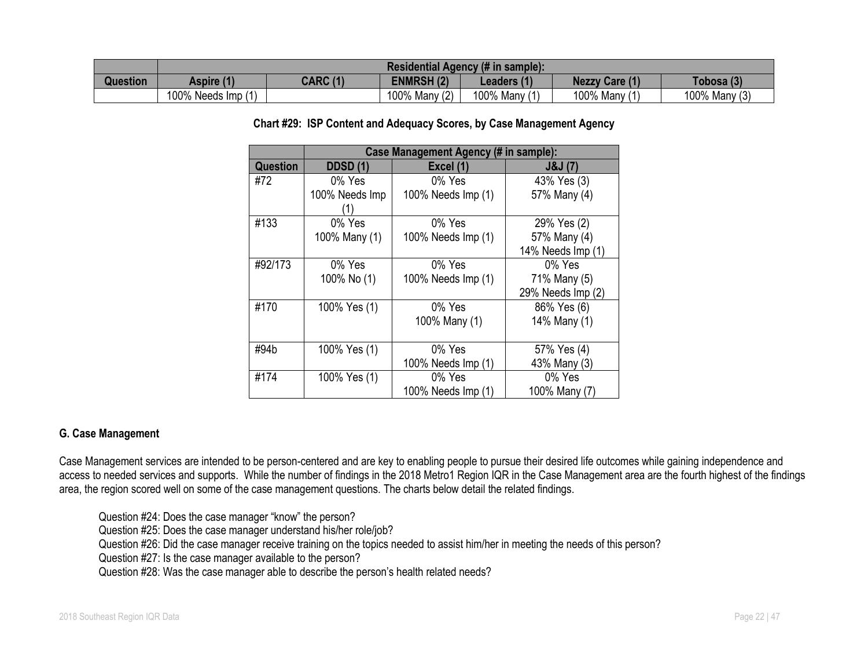|                 | Residential Agency (# in sample): |                 |                  |                             |                   |               |
|-----------------|-----------------------------------|-----------------|------------------|-----------------------------|-------------------|---------------|
| <b>Question</b> | Aspire (1)                        | <b>CARC (1)</b> | <b>ENMRSH(2)</b> | $\angle$ eaders (1 $\angle$ | <b>Nezzy Care</b> | Tobosa (3)    |
|                 | 100% Needs Imp                    |                 | 100% Many (2)    | 100% Many                   | 100% Many         | 100% Many (3) |

#### **Chart #29: ISP Content and Adequacy Scores, by Case Management Agency**

|                 | Case Management Agency (# in sample): |                    |                   |  |  |  |  |
|-----------------|---------------------------------------|--------------------|-------------------|--|--|--|--|
| <b>Question</b> | <b>DDSD (1)</b>                       | Excel (1)          | J&J(7)            |  |  |  |  |
| #72             | 0% Yes                                | 0% Yes             | 43% Yes (3)       |  |  |  |  |
|                 | 100% Needs Imp                        | 100% Needs Imp (1) | 57% Many (4)      |  |  |  |  |
| #133            | 0% Yes                                | 0% Yes             | 29% Yes (2)       |  |  |  |  |
|                 | 100% Many (1)                         | 100% Needs Imp (1) | 57% Many (4)      |  |  |  |  |
|                 |                                       |                    | 14% Needs Imp (1) |  |  |  |  |
| #92/173         | 0% Yes                                | 0% Yes             | 0% Yes            |  |  |  |  |
|                 | 100% No (1)                           | 100% Needs Imp (1) | 71% Many (5)      |  |  |  |  |
|                 |                                       |                    | 29% Needs Imp (2) |  |  |  |  |
| #170            | 100% Yes (1)                          | 0% Yes             | 86% Yes (6)       |  |  |  |  |
|                 |                                       | 100% Many (1)      | 14% Many (1)      |  |  |  |  |
| #94b            | 100% Yes (1)                          | 0% Yes             | 57% Yes (4)       |  |  |  |  |
|                 |                                       | 100% Needs Imp (1) | 43% Many (3)      |  |  |  |  |
| #174            | 100% Yes (1)                          | 0% Yes             | 0% Yes            |  |  |  |  |
|                 |                                       | 100% Needs Imp (1) | 100% Many (7)     |  |  |  |  |

#### **G. Case Management**

Case Management services are intended to be person-centered and are key to enabling people to pursue their desired life outcomes while gaining independence and access to needed services and supports. While the number of findings in the 2018 Metro1 Region IQR in the Case Management area are the fourth highest of the findings area, the region scored well on some of the case management questions. The charts below detail the related findings.

Question #24: Does the case manager "know" the person?

Question #25: Does the case manager understand his/her role/job?

Question #26: Did the case manager receive training on the topics needed to assist him/her in meeting the needs of this person?

Question #27: Is the case manager available to the person?

Question #28: Was the case manager able to describe the person's health related needs?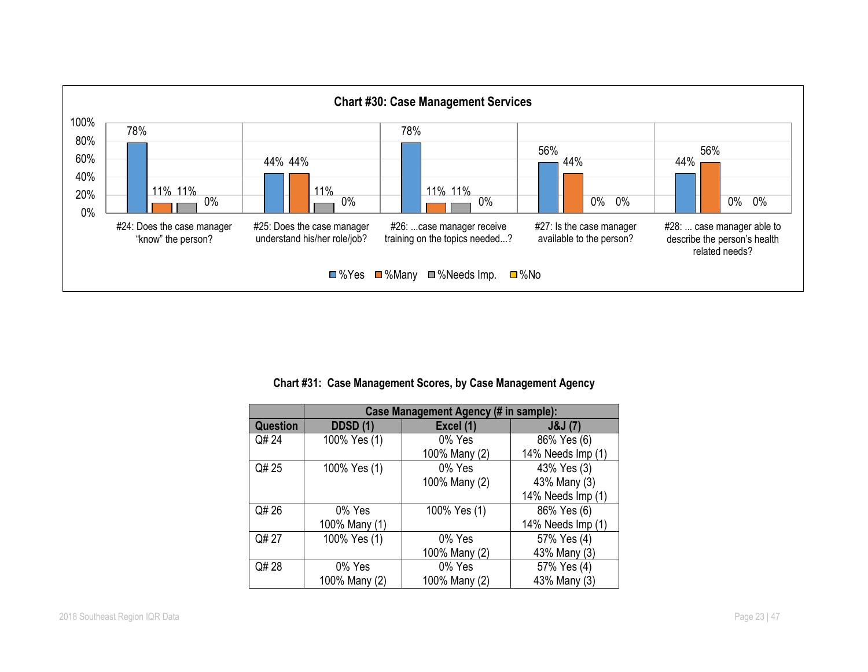

#### **Chart #31: Case Management Scores, by Case Management Agency**

|          | Case Management Agency (# in sample): |               |                   |  |  |  |  |
|----------|---------------------------------------|---------------|-------------------|--|--|--|--|
| Question | <b>DDSD (1)</b>                       | Excel (1)     | J&J(7)            |  |  |  |  |
| Q# 24    | 100% Yes (1)                          | 0% Yes        | 86% Yes (6)       |  |  |  |  |
|          |                                       | 100% Many (2) | 14% Needs Imp (1) |  |  |  |  |
| Q# 25    | 100% Yes (1)                          | 0% Yes        | 43% Yes (3)       |  |  |  |  |
|          |                                       | 100% Many (2) | 43% Many (3)      |  |  |  |  |
|          |                                       |               | 14% Needs Imp (1) |  |  |  |  |
| Q# 26    | 0% Yes                                | 100% Yes (1)  | 86% Yes (6)       |  |  |  |  |
|          | 100% Many (1)                         |               | 14% Needs Imp (1) |  |  |  |  |
| Q# 27    | 100% Yes (1)                          | 0% Yes        | 57% Yes (4)       |  |  |  |  |
|          |                                       | 100% Many (2) | 43% Many (3)      |  |  |  |  |
| Q# 28    | 0% Yes                                | 0% Yes        | 57% Yes (4)       |  |  |  |  |
|          | 100% Many (2)                         | 100% Many (2) | 43% Many (3)      |  |  |  |  |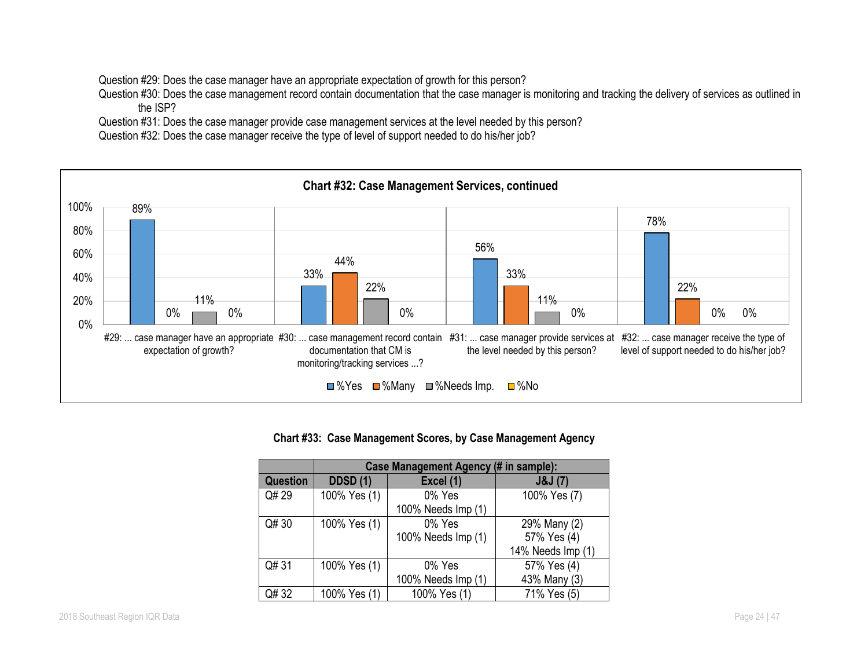Question #29: Does the case manager have an appropriate expectation of growth for this person?

Question #30: Does the case management record contain documentation that the case manager is monitoring and tracking the delivery of services as outlined in the ISP?

Question #31: Does the case manager provide case management services at the level needed by this person?

Question #32: Does the case manager receive the type of level of support needed to do his/her job?



#### **Chart #33: Case Management Scores, by Case Management Agency**

|          | Case Management Agency (# in sample): |                    |                   |  |  |  |  |
|----------|---------------------------------------|--------------------|-------------------|--|--|--|--|
| Question | <b>DDSD (1)</b>                       | Excel (1)          | J&J(7)            |  |  |  |  |
| Q# 29    | 100% Yes (1)                          | 0% Yes             | 100% Yes (7)      |  |  |  |  |
|          |                                       | 100% Needs Imp (1) |                   |  |  |  |  |
| Q#30     | 100% Yes (1)                          | 0% Yes             | 29% Many (2)      |  |  |  |  |
|          |                                       | 100% Needs Imp (1) | 57% Yes (4)       |  |  |  |  |
|          |                                       |                    | 14% Needs Imp (1) |  |  |  |  |
| Q# 31    | 100% Yes (1)                          | 0% Yes             | 57% Yes (4)       |  |  |  |  |
|          |                                       | 100% Needs Imp (1) | 43% Many (3)      |  |  |  |  |
| Q# 32    | 100% Yes (1)                          | 100% Yes (1)       | 71% Yes (5)       |  |  |  |  |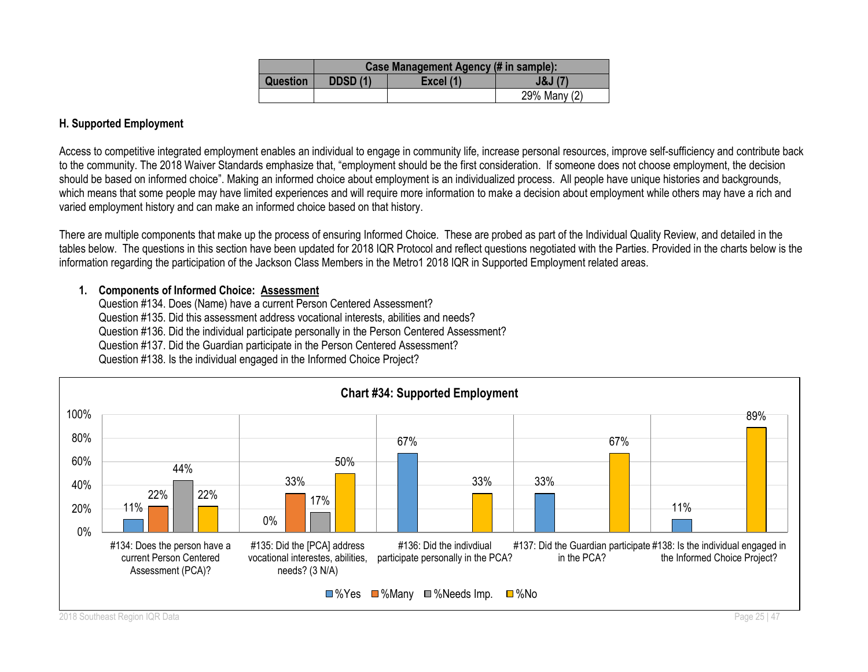|                 | Case Management Agency (# in sample): |           |              |  |  |
|-----------------|---------------------------------------|-----------|--------------|--|--|
| <b>Question</b> | <b>DDSD (1)</b>                       | Excel (1) | J&J(7)       |  |  |
|                 |                                       |           | 29% Many (2) |  |  |

## **H. Supported Employment**

Access to competitive integrated employment enables an individual to engage in community life, increase personal resources, improve self-sufficiency and contribute back to the community. The 2018 Waiver Standards emphasize that, "employment should be the first consideration. If someone does not choose employment, the decision should be based on informed choice". Making an informed choice about employment is an individualized process. All people have unique histories and backgrounds, which means that some people may have limited experiences and will require more information to make a decision about employment while others may have a rich and varied employment history and can make an informed choice based on that history.

There are multiple components that make up the process of ensuring Informed Choice. These are probed as part of the Individual Quality Review, and detailed in the tables below. The questions in this section have been updated for 2018 IQR Protocol and reflect questions negotiated with the Parties. Provided in the charts below is the information regarding the participation of the Jackson Class Members in the Metro1 2018 IQR in Supported Employment related areas.

## **1. Components of Informed Choice: Assessment**

Question #134. Does (Name) have a current Person Centered Assessment? Question #135. Did this assessment address vocational interests, abilities and needs? Question #136. Did the individual participate personally in the Person Centered Assessment? Question #137. Did the Guardian participate in the Person Centered Assessment? Question #138. Is the individual engaged in the Informed Choice Project?

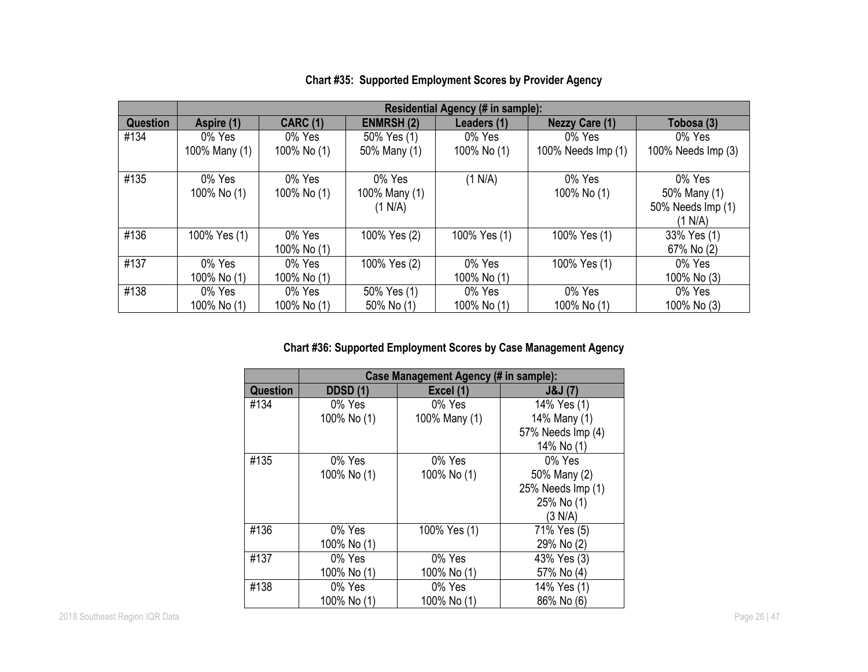|          | Residential Agency (# in sample): |                       |                                    |                       |                       |                                                        |  |
|----------|-----------------------------------|-----------------------|------------------------------------|-----------------------|-----------------------|--------------------------------------------------------|--|
| Question | Aspire (1)                        | <b>CARC (1)</b>       | <b>ENMRSH(2)</b>                   | Leaders (1)           | <b>Nezzy Care (1)</b> | Tobosa (3)                                             |  |
| #134     | 0% Yes                            | 0% Yes                | 50% Yes (1)                        | 0% Yes                | 0% Yes                | 0% Yes                                                 |  |
|          | 100% Many (1)                     | 100% No (1)           | 50% Many (1)                       | 100% No (1)           | 100% Needs Imp (1)    | 100% Needs Imp (3)                                     |  |
| #135     | 0% Yes<br>100% No (1)             | 0% Yes<br>100% No (1) | 0% Yes<br>100% Many (1)<br>(1 N/A) | (1 N/A)               | 0% Yes<br>100% No (1) | 0% Yes<br>50% Many (1)<br>50% Needs Imp (1)<br>(1 N/A) |  |
| #136     | 100% Yes (1)                      | 0% Yes<br>100% No (1) | 100% Yes (2)                       | 100% Yes (1)          | 100% Yes (1)          | 33% Yes (1)<br>67% No (2)                              |  |
| #137     | 0% Yes<br>100% No (1)             | 0% Yes<br>100% No (1) | 100% Yes (2)                       | 0% Yes<br>100% No (1) | 100% Yes (1)          | 0% Yes<br>100% No (3)                                  |  |
| #138     | 0% Yes                            | 0% Yes                | 50% Yes (1)                        | 0% Yes                | 0% Yes                | 0% Yes                                                 |  |
|          | 100% No (1)                       | 100% No (1)           | 50% No (1)                         | 100% No (1)           | 100% No (1)           | 100% No (3)                                            |  |

## **Chart #35: Supported Employment Scores by Provider Agency**

## **Chart #36: Supported Employment Scores by Case Management Agency**

|                 | Case Management Agency (# in sample): |               |                   |  |  |  |  |
|-----------------|---------------------------------------|---------------|-------------------|--|--|--|--|
| <b>Question</b> | <b>DDSD (1)</b>                       | Excel (1)     | J&J(7)            |  |  |  |  |
| #134            | 0% Yes                                | 0% Yes        | 14% Yes (1)       |  |  |  |  |
|                 | 100% No (1)                           | 100% Many (1) | 14% Many (1)      |  |  |  |  |
|                 |                                       |               | 57% Needs Imp (4) |  |  |  |  |
|                 |                                       |               | 14% No (1)        |  |  |  |  |
| #135            | 0% Yes                                | 0% Yes        | 0% Yes            |  |  |  |  |
|                 | 100% No (1)                           | 100% No (1)   | 50% Many (2)      |  |  |  |  |
|                 |                                       |               | 25% Needs Imp (1) |  |  |  |  |
|                 |                                       |               | 25% No (1)        |  |  |  |  |
|                 |                                       |               | (3 N/A)           |  |  |  |  |
| #136            | 0% Yes                                | 100% Yes (1)  | 71% Yes (5)       |  |  |  |  |
|                 | 100% No (1)                           |               | 29% No (2)        |  |  |  |  |
| #137            | 0% Yes                                | 0% Yes        | 43% Yes (3)       |  |  |  |  |
|                 | 100% No (1)                           | 100% No (1)   | 57% No (4)        |  |  |  |  |
| #138            | 0% Yes                                | 0% Yes        | 14% Yes (1)       |  |  |  |  |
|                 | 100% No (1)                           | 100% No (1)   | 86% No (6)        |  |  |  |  |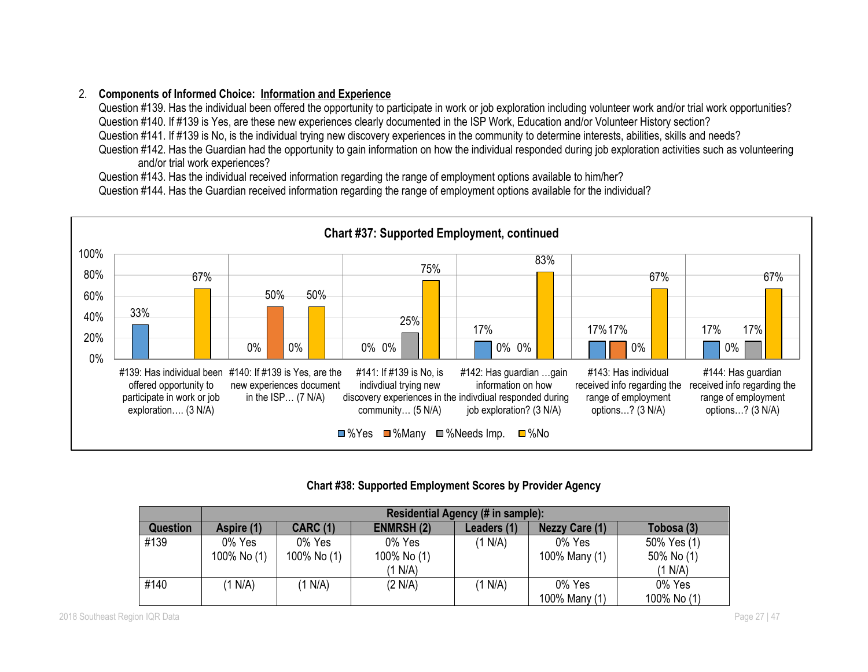## 2. **Components of Informed Choice: Information and Experience**

Question #139. Has the individual been offered the opportunity to participate in work or job exploration including volunteer work and/or trial work opportunities? Question #140. If #139 is Yes, are these new experiences clearly documented in the ISP Work, Education and/or Volunteer History section?

Question #141. If #139 is No, is the individual trying new discovery experiences in the community to determine interests, abilities, skills and needs?

Question #142. Has the Guardian had the opportunity to gain information on how the individual responded during job exploration activities such as volunteering and/or trial work experiences?

Question #143. Has the individual received information regarding the range of employment options available to him/her?

Question #144. Has the Guardian received information regarding the range of employment options available for the individual?



## **Chart #38: Supported Employment Scores by Provider Agency**

|                 | Residential Agency (# in sample): |                 |                  |             |                       |             |  |
|-----------------|-----------------------------------|-----------------|------------------|-------------|-----------------------|-------------|--|
| <b>Question</b> | Aspire (1)                        | <b>CARC (1)</b> | <b>ENMRSH(2)</b> | Leaders (1) | <b>Nezzy Care (1)</b> | Tobosa (3)  |  |
| #139            | 0% Yes                            | 0% Yes          | 0% Yes           | (1 N/A)     | 0% Yes                | 50% Yes (1) |  |
|                 | 100% No (1)                       | 100% No (1)     | 100% No (1)      |             | 100% Many (1)         | 50% No (1)  |  |
|                 |                                   |                 | (1 N/A)          |             |                       | (1 N/A)     |  |
| #140            | (1 N/A)                           | 1 N/A           | (2 N/A)          | (1 N/A)     | 0% Yes                | 0% Yes      |  |
|                 |                                   |                 |                  |             | 100% Many (1)         | 100% No (1) |  |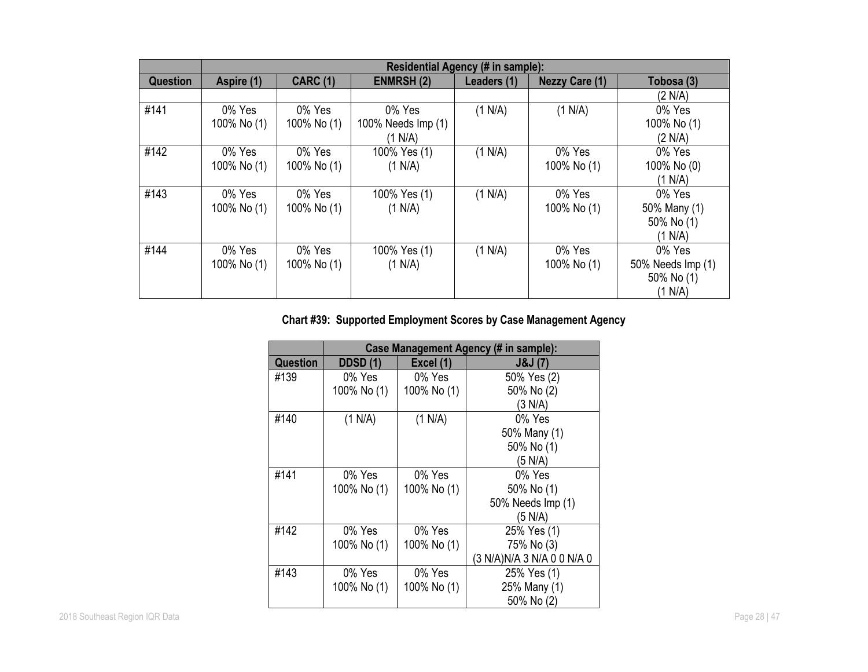|                 | Residential Agency (# in sample): |                 |                    |             |                       |                   |
|-----------------|-----------------------------------|-----------------|--------------------|-------------|-----------------------|-------------------|
| <b>Question</b> | Aspire (1)                        | <b>CARC (1)</b> | <b>ENMRSH (2)</b>  | Leaders (1) | <b>Nezzy Care (1)</b> | Tobosa (3)        |
|                 |                                   |                 |                    |             |                       | (2 N/A)           |
| #141            | 0% Yes                            | 0% Yes          | 0% Yes             | (1 N/A)     | (1 N/A)               | 0% Yes            |
|                 | 100% No (1)                       | 100% No (1)     | 100% Needs Imp (1) |             |                       | 100% No (1)       |
|                 |                                   |                 | (1 N/A)            |             |                       | (2 N/A)           |
| #142            | 0% Yes                            | 0% Yes          | 100% Yes (1)       | (1 N/A)     | 0% Yes                | 0% Yes            |
|                 | 100% No (1)                       | 100% No (1)     | (1 N/A)            |             | 100% No (1)           | 100% No (0)       |
|                 |                                   |                 |                    |             |                       | (1 N/A)           |
| #143            | 0% Yes                            | 0% Yes          | 100% Yes (1)       | (1 N/A)     | 0% Yes                | 0% Yes            |
|                 | 100% No (1)                       | 100% No (1)     | (1 N/A)            |             | 100% No (1)           | 50% Many (1)      |
|                 |                                   |                 |                    |             |                       | 50% No (1)        |
|                 |                                   |                 |                    |             |                       | (1 N/A)           |
| #144            | 0% Yes                            | 0% Yes          | 100% Yes (1)       | (1 N/A)     | 0% Yes                | 0% Yes            |
|                 | 100% No (1)                       | 100% No (1)     | (1 N/A)            |             | 100% No (1)           | 50% Needs Imp (1) |
|                 |                                   |                 |                    |             |                       | 50% No (1)        |
|                 |                                   |                 |                    |             |                       | (1 N/A)           |

# **Chart #39: Supported Employment Scores by Case Management Agency**

|          |                 |             | Case Management Agency (# in sample): |
|----------|-----------------|-------------|---------------------------------------|
| Question | <b>DDSD</b> (1) | Excel (1)   | J&J(7)                                |
| #139     | 0% Yes          | 0% Yes      | 50% Yes (2)                           |
|          | 100% No (1)     | 100% No (1) | 50% No (2)                            |
|          |                 |             | (3 N/A)                               |
| #140     | (1 N/A)         | (1 N/A)     | 0% Yes                                |
|          |                 |             | 50% Many (1)                          |
|          |                 |             | 50% No (1)                            |
|          |                 |             | (5 N/A)                               |
| #141     | 0% Yes          | 0% Yes      | 0% Yes                                |
|          | 100% No (1)     | 100% No (1) | 50% No (1)                            |
|          |                 |             | 50% Needs Imp (1)                     |
|          |                 |             | (5 N/A)                               |
| #142     | 0% Yes          | 0% Yes      | 25% Yes (1)                           |
|          | 100% No (1)     | 100% No (1) | 75% No (3)                            |
|          |                 |             | (3 N/A)N/A 3 N/A 0 0 N/A 0            |
| #143     | 0% Yes          | 0% Yes      | 25% Yes (1)                           |
|          | 100% No (1)     | 100% No (1) | 25% Many (1)                          |
|          |                 |             | 50% No (2)                            |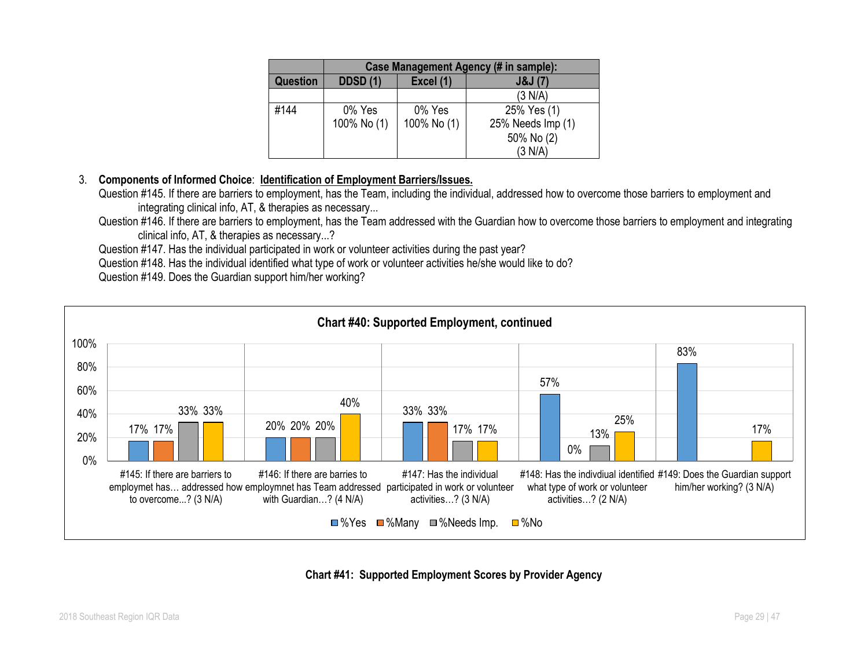|                 |                 |             | Case Management Agency (# in sample): |
|-----------------|-----------------|-------------|---------------------------------------|
| <b>Question</b> | <b>DDSD (1)</b> | Excel (1)   | J&J(7)                                |
|                 |                 |             | (3 N/A)                               |
| #144            | 0% Yes          | 0% Yes      | 25% Yes (1)                           |
|                 | 100% No (1)     | 100% No (1) | 25% Needs Imp (1)                     |
|                 |                 |             | 50% No (2)                            |
|                 |                 |             | (3 N/A)                               |

## 3. **Components of Informed Choice**: **Identification of Employment Barriers/Issues.**

Question #145. If there are barriers to employment, has the Team, including the individual, addressed how to overcome those barriers to employment and integrating clinical info, AT, & therapies as necessary...

Question #146. If there are barriers to employment, has the Team addressed with the Guardian how to overcome those barriers to employment and integrating clinical info, AT, & therapies as necessary...?

Question #147. Has the individual participated in work or volunteer activities during the past year?

Question #148. Has the individual identified what type of work or volunteer activities he/she would like to do?



Question #149. Does the Guardian support him/her working?

**Chart #41: Supported Employment Scores by Provider Agency**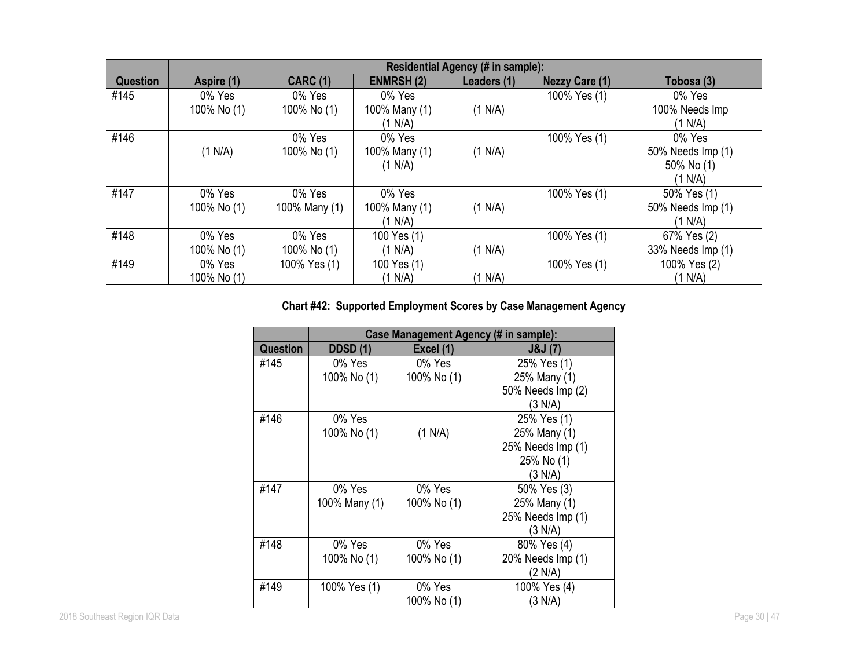|                 |             |                 |                  | Residential Agency (# in sample): |                       |                   |
|-----------------|-------------|-----------------|------------------|-----------------------------------|-----------------------|-------------------|
| <b>Question</b> | Aspire (1)  | <b>CARC (1)</b> | <b>ENMRSH(2)</b> | Leaders (1)                       | <b>Nezzy Care (1)</b> | Tobosa (3)        |
| #145            | 0% Yes      | 0% Yes          | 0% Yes           |                                   | 100% Yes (1)          | 0% Yes            |
|                 | 100% No (1) | 100% No (1)     | 100% Many (1)    | (1 N/A)                           |                       | 100% Needs Imp    |
|                 |             |                 | (1 N/A)          |                                   |                       | (1 N/A)           |
| #146            |             | 0% Yes          | 0% Yes           |                                   | 100% Yes (1)          | 0% Yes            |
|                 | (1 N/A)     | 100% No (1)     | 100% Many (1)    | (1 N/A)                           |                       | 50% Needs Imp (1) |
|                 |             |                 | (1 N/A)          |                                   |                       | 50% No (1)        |
|                 |             |                 |                  |                                   |                       | (1 N/A)           |
| #147            | 0% Yes      | 0% Yes          | 0% Yes           |                                   | 100% Yes (1)          | 50% Yes (1)       |
|                 | 100% No (1) | 100% Many (1)   | 100% Many (1)    | (1 N/A)                           |                       | 50% Needs Imp (1) |
|                 |             |                 | (1 N/A)          |                                   |                       | (1 N/A)           |
| #148            | 0% Yes      | 0% Yes          | 100 Yes (1)      |                                   | 100% Yes (1)          | 67% Yes (2)       |
|                 | 100% No (1) | 100% No (1)     | (1 N/A)          | (1 N/A)                           |                       | 33% Needs Imp (1) |
| #149            | 0% Yes      | 100% Yes (1)    | 100 Yes (1)      |                                   | 100% Yes (1)          | 100% Yes (2)      |
|                 | 100% No (1) |                 | (1 N/A)          | (1 N/A)                           |                       | (1 N/A)           |

# **Chart #42: Supported Employment Scores by Case Management Agency**

|                 |                 | Case Management Agency (# in sample): |                   |
|-----------------|-----------------|---------------------------------------|-------------------|
| <b>Question</b> | <b>DDSD</b> (1) | Excel (1)                             | J&J(7)            |
| #145            | 0% Yes          | 0% Yes                                | 25% Yes (1)       |
|                 | 100% No (1)     | 100% No (1)                           | 25% Many (1)      |
|                 |                 |                                       | 50% Needs Imp (2) |
|                 |                 |                                       | (3 N/A)           |
| #146            | 0% Yes          |                                       | 25% Yes (1)       |
|                 | 100% No (1)     | (1 N/A)                               | 25% Many (1)      |
|                 |                 |                                       | 25% Needs Imp (1) |
|                 |                 |                                       | 25% No (1)        |
|                 |                 |                                       | (3 N/A)           |
| #147            | 0% Yes          | 0% Yes                                | 50% Yes (3)       |
|                 | 100% Many (1)   | 100% No (1)                           | 25% Many (1)      |
|                 |                 |                                       | 25% Needs Imp (1) |
|                 |                 |                                       | (3 N/A)           |
| #148            | 0% Yes          | 0% Yes                                | 80% Yes (4)       |
|                 | 100% No (1)     | 100% No (1)                           | 20% Needs Imp (1) |
|                 |                 |                                       | (2 N/A)           |
| #149            | 100% Yes (1)    | 0% Yes                                | 100% Yes (4)      |
|                 |                 | 100% No (1)                           | (3 N/A)           |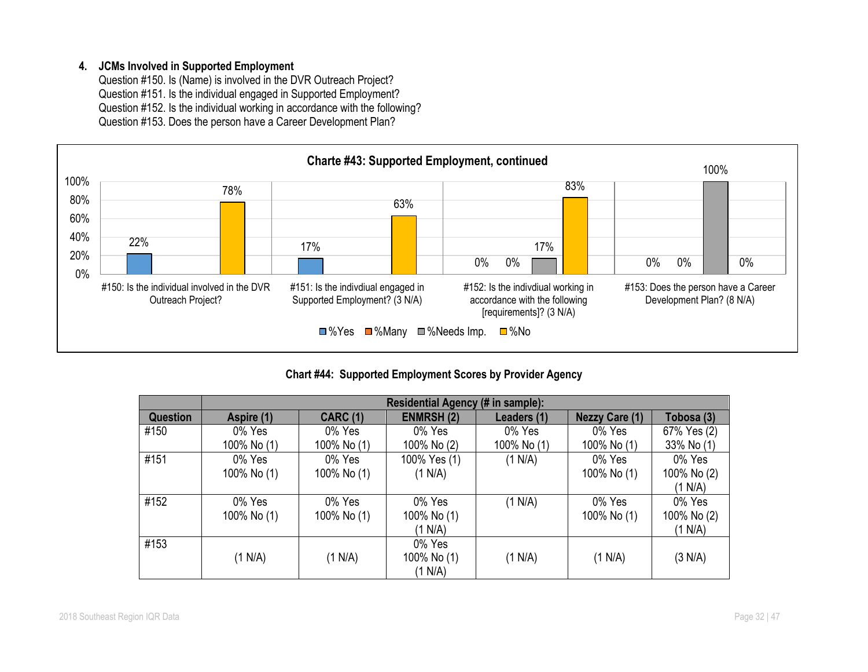## **4. JCMs Involved in Supported Employment**

Question #150. Is (Name) is involved in the DVR Outreach Project? Question #151. Is the individual engaged in Supported Employment? Question #152. Is the individual working in accordance with the following? Question #153. Does the person have a Career Development Plan?



**Chart #44: Supported Employment Scores by Provider Agency**

|          |                       |                       | Residential Agency (# in sample): |                       |                       |                                  |
|----------|-----------------------|-----------------------|-----------------------------------|-----------------------|-----------------------|----------------------------------|
| Question | Aspire (1)            | <b>CARC (1)</b>       | <b>ENMRSH (2)</b>                 | Leaders (1)           | <b>Nezzy Care (1)</b> | Tobosa (3)                       |
| #150     | 0% Yes<br>100% No (1) | 0% Yes<br>100% No (1) | 0% Yes<br>100% No (2)             | 0% Yes<br>100% No (1) | 0% Yes<br>100% No (1) | 67% Yes (2)<br>33% No (1)        |
| #151     | 0% Yes<br>100% No (1) | 0% Yes<br>100% No (1) | 100% Yes (1)<br>(1 N/A)           | (1 N/A)               | 0% Yes<br>100% No (1) | 0% Yes<br>100% No (2)<br>(1 N/A) |
| #152     | 0% Yes<br>100% No (1) | 0% Yes<br>100% No (1) | 0% Yes<br>100% No (1)<br>(1 N/A)  | (1 N/A)               | 0% Yes<br>100% No (1) | 0% Yes<br>100% No (2)<br>(1 N/A) |
| #153     | (1 N/A)               | (1 N/A)               | 0% Yes<br>100% No (1)<br>(1 N/A)  | (1 N/A)               | (1 N/A)               | (3 N/A)                          |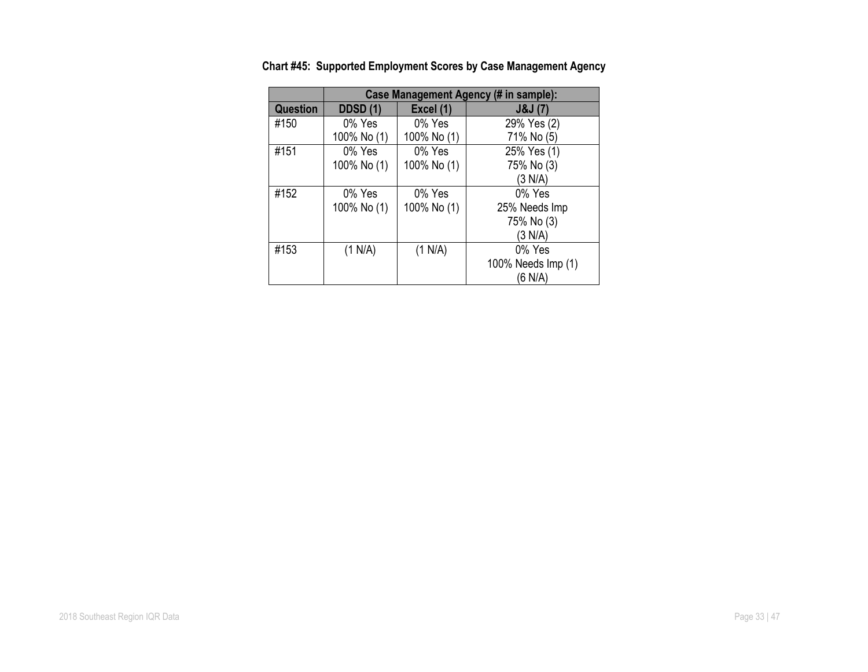|                 |                 |             | Case Management Agency (# in sample): |
|-----------------|-----------------|-------------|---------------------------------------|
| <b>Question</b> | <b>DDSD (1)</b> | Excel (1)   | J&J(7)                                |
| #150            | 0% Yes          | 0% Yes      | 29% Yes (2)                           |
|                 | 100% No (1)     | 100% No (1) | 71% No (5)                            |
| #151            | 0% Yes          | 0% Yes      | 25% Yes (1)                           |
|                 | 100% No (1)     | 100% No (1) | 75% No (3)                            |
|                 |                 |             | (3 N/A)                               |
| #152            | 0% Yes          | 0% Yes      | 0% Yes                                |
|                 | 100% No (1)     | 100% No (1) | 25% Needs Imp                         |
|                 |                 |             | 75% No (3)                            |
|                 |                 |             | (3 N/A)                               |
| #153            | (1 N/A)         | (1 N/A)     | 0% Yes                                |
|                 |                 |             | 100% Needs Imp (1)                    |
|                 |                 |             | (6 N/A)                               |

**Chart #45: Supported Employment Scores by Case Management Agency**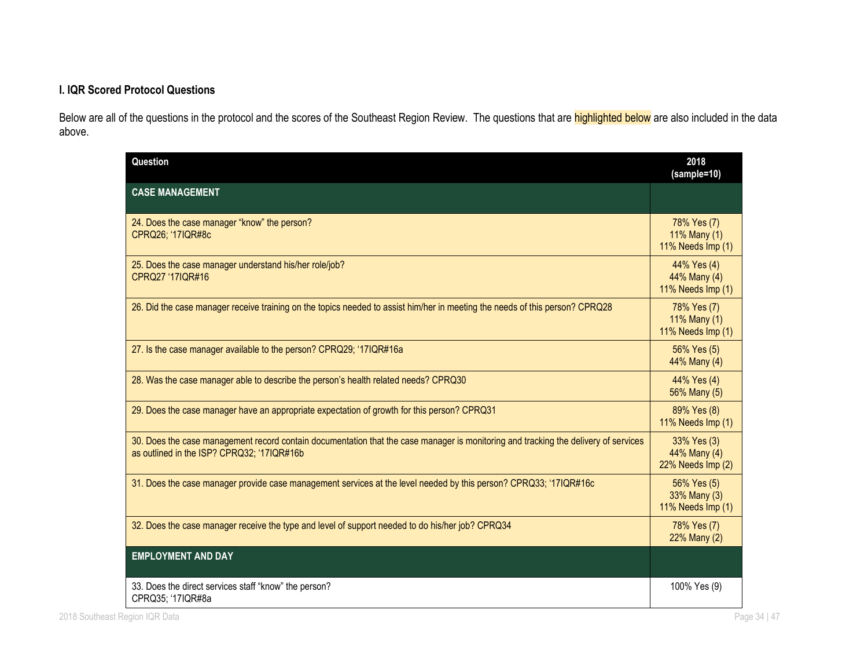## **I. IQR Scored Protocol Questions**

Below are all of the questions in the protocol and the scores of the Southeast Region Review. The questions that are **highlighted below** are also included in the data above.

| Question                                                                                                                                                                          | 2018<br>(sample=10)                              |
|-----------------------------------------------------------------------------------------------------------------------------------------------------------------------------------|--------------------------------------------------|
| <b>CASE MANAGEMENT</b>                                                                                                                                                            |                                                  |
| 24. Does the case manager "know" the person?<br>CPRQ26; '17IQR#8c                                                                                                                 | 78% Yes (7)<br>11% Many (1)<br>11% Needs Imp (1) |
| 25. Does the case manager understand his/her role/job?<br>CPRQ27 '17IQR#16                                                                                                        | 44% Yes (4)<br>44% Many (4)<br>11% Needs Imp (1) |
| 26. Did the case manager receive training on the topics needed to assist him/her in meeting the needs of this person? CPRQ28                                                      | 78% Yes (7)<br>11% Many (1)<br>11% Needs Imp (1) |
| 27. Is the case manager available to the person? CPRQ29; '17IQR#16a                                                                                                               | 56% Yes (5)<br>44% Many (4)                      |
| 28. Was the case manager able to describe the person's health related needs? CPRQ30                                                                                               | 44% Yes (4)<br>56% Many (5)                      |
| 29. Does the case manager have an appropriate expectation of growth for this person? CPRQ31                                                                                       | 89% Yes (8)<br>11% Needs Imp (1)                 |
| 30. Does the case management record contain documentation that the case manager is monitoring and tracking the delivery of services<br>as outlined in the ISP? CPRQ32; '17IQR#16b | 33% Yes (3)<br>44% Many (4)<br>22% Needs Imp (2) |
| 31. Does the case manager provide case management services at the level needed by this person? CPRQ33; '17IQR#16c                                                                 | 56% Yes (5)<br>33% Many (3)<br>11% Needs Imp (1) |
| 32. Does the case manager receive the type and level of support needed to do his/her job? CPRQ34                                                                                  | 78% Yes (7)<br>22% Many (2)                      |
| <b>EMPLOYMENT AND DAY</b>                                                                                                                                                         |                                                  |
| 33. Does the direct services staff "know" the person?<br>CPRQ35; '17IQR#8a                                                                                                        | 100% Yes (9)                                     |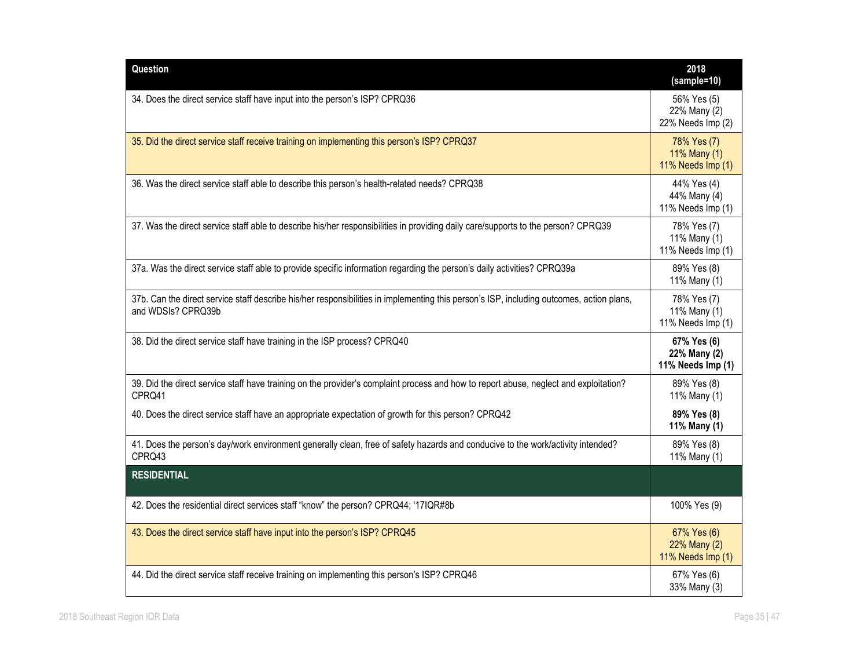| Question                                                                                                                                                       | 2018<br>(sample=10)                              |
|----------------------------------------------------------------------------------------------------------------------------------------------------------------|--------------------------------------------------|
| 34. Does the direct service staff have input into the person's ISP? CPRQ36                                                                                     | 56% Yes (5)<br>22% Many (2)<br>22% Needs Imp (2) |
| 35. Did the direct service staff receive training on implementing this person's ISP? CPRQ37                                                                    | 78% Yes (7)<br>11% Many (1)<br>11% Needs Imp (1) |
| 36. Was the direct service staff able to describe this person's health-related needs? CPRQ38                                                                   | 44% Yes (4)<br>44% Many (4)<br>11% Needs Imp (1) |
| 37. Was the direct service staff able to describe his/her responsibilities in providing daily care/supports to the person? CPRQ39                              | 78% Yes (7)<br>11% Many (1)<br>11% Needs Imp (1) |
| 37a. Was the direct service staff able to provide specific information regarding the person's daily activities? CPRQ39a                                        | 89% Yes (8)<br>11% Many (1)                      |
| 37b. Can the direct service staff describe his/her responsibilities in implementing this person's ISP, including outcomes, action plans,<br>and WDSIs? CPRQ39b | 78% Yes (7)<br>11% Many (1)<br>11% Needs Imp (1) |
| 38. Did the direct service staff have training in the ISP process? CPRQ40                                                                                      | 67% Yes (6)<br>22% Many (2)<br>11% Needs Imp (1) |
| 39. Did the direct service staff have training on the provider's complaint process and how to report abuse, neglect and exploitation?<br>CPRQ41                | 89% Yes (8)<br>11% Many (1)                      |
| 40. Does the direct service staff have an appropriate expectation of growth for this person? CPRQ42                                                            | 89% Yes (8)<br>11% Many (1)                      |
| 41. Does the person's day/work environment generally clean, free of safety hazards and conducive to the work/activity intended?<br>CPRQ43                      | 89% Yes (8)<br>11% Many (1)                      |
| <b>RESIDENTIAL</b>                                                                                                                                             |                                                  |
| 42. Does the residential direct services staff "know" the person? CPRQ44; '17IQR#8b                                                                            | 100% Yes (9)                                     |
| 43. Does the direct service staff have input into the person's ISP? CPRQ45                                                                                     | 67% Yes (6)<br>22% Many (2)<br>11% Needs Imp (1) |
| 44. Did the direct service staff receive training on implementing this person's ISP? CPRQ46                                                                    | 67% Yes (6)<br>33% Many (3)                      |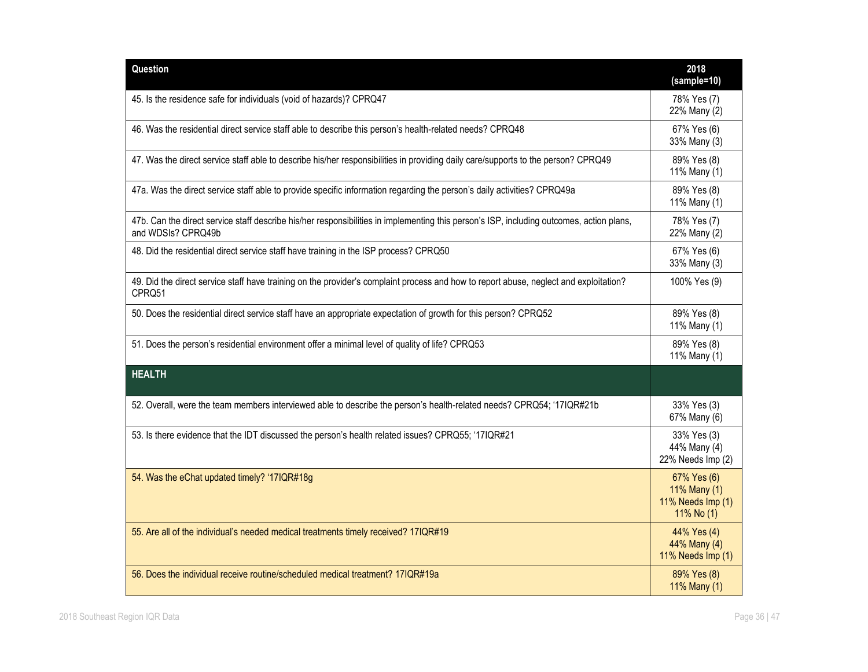| Question                                                                                                                                                       | 2018<br>(sample=10)                                            |
|----------------------------------------------------------------------------------------------------------------------------------------------------------------|----------------------------------------------------------------|
| 45. Is the residence safe for individuals (void of hazards)? CPRQ47                                                                                            | 78% Yes (7)<br>22% Many (2)                                    |
| 46. Was the residential direct service staff able to describe this person's health-related needs? CPRQ48                                                       | 67% Yes (6)<br>33% Many (3)                                    |
| 47. Was the direct service staff able to describe his/her responsibilities in providing daily care/supports to the person? CPRQ49                              | 89% Yes (8)<br>11% Many (1)                                    |
| 47a. Was the direct service staff able to provide specific information regarding the person's daily activities? CPRQ49a                                        | 89% Yes (8)<br>11% Many (1)                                    |
| 47b. Can the direct service staff describe his/her responsibilities in implementing this person's ISP, including outcomes, action plans,<br>and WDSIs? CPRQ49b | 78% Yes (7)<br>22% Many (2)                                    |
| 48. Did the residential direct service staff have training in the ISP process? CPRQ50                                                                          | 67% Yes (6)<br>33% Many (3)                                    |
| 49. Did the direct service staff have training on the provider's complaint process and how to report abuse, neglect and exploitation?<br>CPRQ51                | 100% Yes (9)                                                   |
| 50. Does the residential direct service staff have an appropriate expectation of growth for this person? CPRQ52                                                | 89% Yes (8)<br>11% Many (1)                                    |
| 51. Does the person's residential environment offer a minimal level of quality of life? CPRQ53                                                                 | 89% Yes (8)<br>11% Many (1)                                    |
| <b>HEALTH</b>                                                                                                                                                  |                                                                |
| 52. Overall, were the team members interviewed able to describe the person's health-related needs? CPRQ54; '17IQR#21b                                          | 33% Yes (3)<br>67% Many (6)                                    |
| 53. Is there evidence that the IDT discussed the person's health related issues? CPRQ55; '17IQR#21                                                             | 33% Yes (3)<br>44% Many (4)<br>22% Needs Imp (2)               |
| 54. Was the eChat updated timely? '17IQR#18g                                                                                                                   | 67% Yes (6)<br>11% Many (1)<br>11% Needs Imp (1)<br>11% No (1) |
| 55. Are all of the individual's needed medical treatments timely received? 17IQR#19                                                                            | 44% Yes (4)<br>44% Many (4)<br>11% Needs Imp (1)               |
| 56. Does the individual receive routine/scheduled medical treatment? 17IQR#19a                                                                                 | 89% Yes (8)<br>11% Many (1)                                    |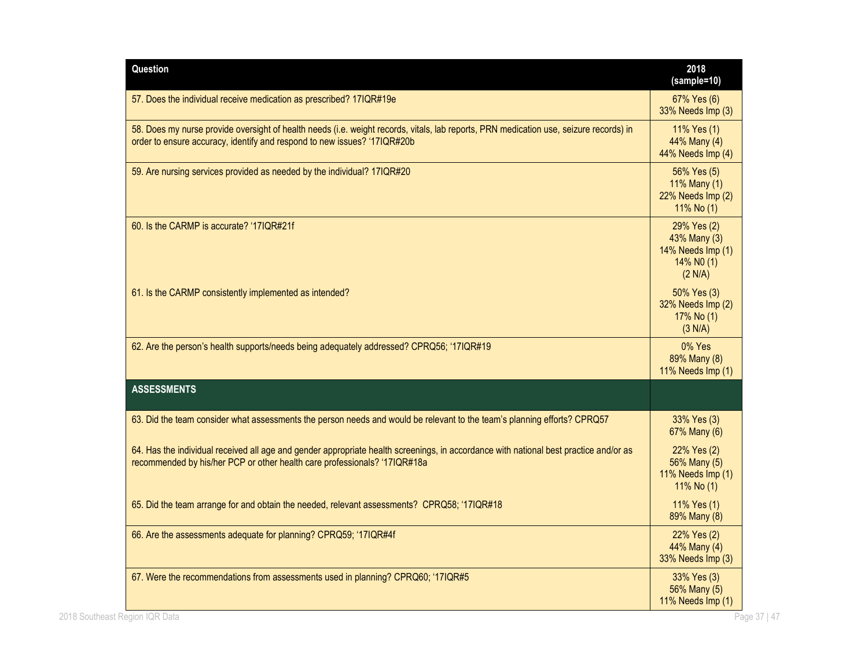| Question                                                                                                                                                                                                           | 2018<br>(sample=10)                                                       |
|--------------------------------------------------------------------------------------------------------------------------------------------------------------------------------------------------------------------|---------------------------------------------------------------------------|
| 57. Does the individual receive medication as prescribed? 17IQR#19e                                                                                                                                                | 67% Yes (6)<br>33% Needs Imp (3)                                          |
| 58. Does my nurse provide oversight of health needs (i.e. weight records, vitals, lab reports, PRN medication use, seizure records) in<br>order to ensure accuracy, identify and respond to new issues? '17IQR#20b | 11% Yes (1)<br>44% Many (4)<br>44% Needs Imp (4)                          |
| 59. Are nursing services provided as needed by the individual? 17IQR#20                                                                                                                                            | 56% Yes (5)<br>11% Many (1)<br>22% Needs Imp (2)<br>11% No (1)            |
| 60. Is the CARMP is accurate? '17IQR#21f                                                                                                                                                                           | 29% Yes (2)<br>43% Many (3)<br>14% Needs Imp (1)<br>14% NO (1)<br>(2 N/A) |
| 61. Is the CARMP consistently implemented as intended?                                                                                                                                                             | 50% Yes (3)<br>32% Needs Imp (2)<br>17% No (1)<br>(3 N/A)                 |
| 62. Are the person's health supports/needs being adequately addressed? CPRQ56; '17IQR#19                                                                                                                           | 0% Yes<br>89% Many (8)<br>11% Needs Imp (1)                               |
| <b>ASSESSMENTS</b>                                                                                                                                                                                                 |                                                                           |
| 63. Did the team consider what assessments the person needs and would be relevant to the team's planning efforts? CPRQ57                                                                                           | 33% Yes (3)<br>67% Many (6)                                               |
| 64. Has the individual received all age and gender appropriate health screenings, in accordance with national best practice and/or as<br>recommended by his/her PCP or other health care professionals? '17IQR#18a | 22% Yes (2)<br>56% Many (5)<br>11% Needs Imp (1)<br>11% No (1)            |
| 65. Did the team arrange for and obtain the needed, relevant assessments? CPRQ58; '17IQR#18                                                                                                                        | 11% Yes (1)<br>89% Many (8)                                               |
| 66. Are the assessments adequate for planning? CPRQ59; '17IQR#4f                                                                                                                                                   | 22% Yes (2)<br>44% Many (4)<br>33% Needs Imp (3)                          |
| 67. Were the recommendations from assessments used in planning? CPRQ60; '17IQR#5                                                                                                                                   | 33% Yes (3)<br>56% Many (5)<br>11% Needs Imp (1)                          |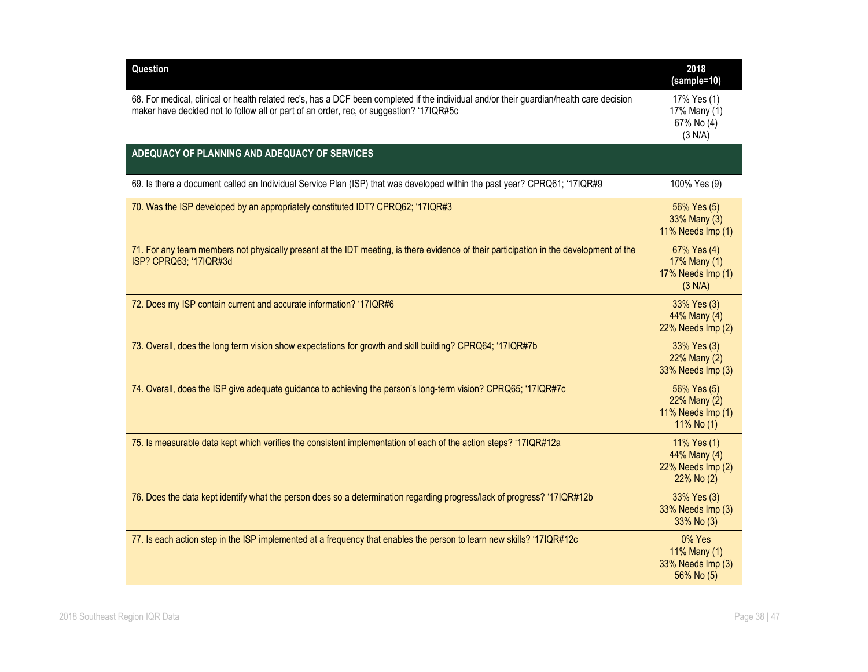| Question                                                                                                                                                                                                                            | 2018<br>(sample=10)                                            |
|-------------------------------------------------------------------------------------------------------------------------------------------------------------------------------------------------------------------------------------|----------------------------------------------------------------|
| 68. For medical, clinical or health related rec's, has a DCF been completed if the individual and/or their guardian/health care decision<br>maker have decided not to follow all or part of an order, rec, or suggestion? '17IQR#5c | 17% Yes (1)<br>17% Many (1)<br>67% No (4)<br>(3 N/A)           |
| ADEQUACY OF PLANNING AND ADEQUACY OF SERVICES                                                                                                                                                                                       |                                                                |
| 69. Is there a document called an Individual Service Plan (ISP) that was developed within the past year? CPRQ61; '17IQR#9                                                                                                           | 100% Yes (9)                                                   |
| 70. Was the ISP developed by an appropriately constituted IDT? CPRQ62; '17IQR#3                                                                                                                                                     | 56% Yes (5)<br>33% Many (3)<br>11% Needs Imp (1)               |
| 71. For any team members not physically present at the IDT meeting, is there evidence of their participation in the development of the<br>ISP? CPRQ63; '17IQR#3d                                                                    | 67% Yes (4)<br>17% Many (1)<br>17% Needs Imp (1)<br>(3 N/A)    |
| 72. Does my ISP contain current and accurate information? '17IQR#6                                                                                                                                                                  | 33% Yes (3)<br>44% Many (4)<br>22% Needs Imp (2)               |
| 73. Overall, does the long term vision show expectations for growth and skill building? CPRQ64; '17IQR#7b                                                                                                                           | 33% Yes (3)<br>22% Many (2)<br>33% Needs Imp (3)               |
| 74. Overall, does the ISP give adequate guidance to achieving the person's long-term vision? CPRQ65; '17IQR#7c                                                                                                                      | 56% Yes (5)<br>22% Many (2)<br>11% Needs Imp (1)<br>11% No (1) |
| 75. Is measurable data kept which verifies the consistent implementation of each of the action steps? '17IQR#12a                                                                                                                    | 11% Yes (1)<br>44% Many (4)<br>22% Needs Imp (2)<br>22% No (2) |
| 76. Does the data kept identify what the person does so a determination regarding progress/lack of progress? '17IQR#12b                                                                                                             | 33% Yes (3)<br>33% Needs Imp (3)<br>33% No (3)                 |
| 77. Is each action step in the ISP implemented at a frequency that enables the person to learn new skills? '17IQR#12c                                                                                                               | 0% Yes<br>11% Many (1)<br>33% Needs Imp (3)<br>56% No (5)      |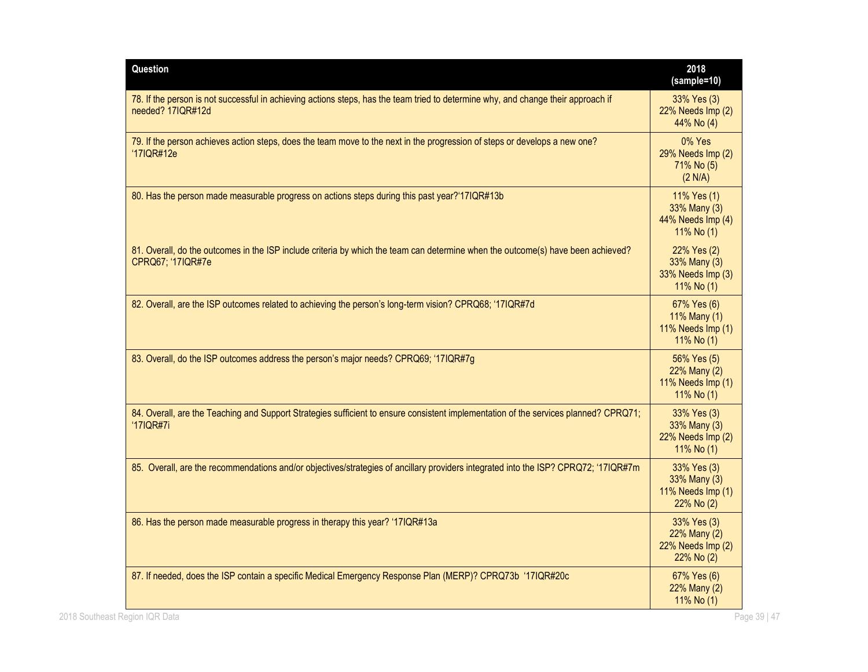| Question                                                                                                                                                 | 2018<br>(sample=10)                                            |
|----------------------------------------------------------------------------------------------------------------------------------------------------------|----------------------------------------------------------------|
| 78. If the person is not successful in achieving actions steps, has the team tried to determine why, and change their approach if<br>needed? 17IQR#12d   | 33% Yes (3)<br>22% Needs Imp (2)<br>44% No (4)                 |
| 79. If the person achieves action steps, does the team move to the next in the progression of steps or develops a new one?<br>'17IQR#12e                 | 0% Yes<br>29% Needs Imp (2)<br>71% No (5)<br>(2 N/A)           |
| 80. Has the person made measurable progress on actions steps during this past year?'17IQR#13b                                                            | 11% Yes (1)<br>33% Many (3)<br>44% Needs Imp (4)<br>11% No (1) |
| 81. Overall, do the outcomes in the ISP include criteria by which the team can determine when the outcome(s) have been achieved?<br>CPRQ67; '17IQR#7e    | 22% Yes (2)<br>33% Many (3)<br>33% Needs Imp (3)<br>11% No (1) |
| 82. Overall, are the ISP outcomes related to achieving the person's long-term vision? CPRQ68; '17IQR#7d                                                  | 67% Yes (6)<br>11% Many (1)<br>11% Needs Imp (1)<br>11% No (1) |
| 83. Overall, do the ISP outcomes address the person's major needs? CPRQ69; '17IQR#7g                                                                     | 56% Yes (5)<br>22% Many (2)<br>11% Needs Imp (1)<br>11% No (1) |
| 84. Overall, are the Teaching and Support Strategies sufficient to ensure consistent implementation of the services planned? CPRQ71;<br><b>'17IQR#7i</b> | 33% Yes (3)<br>33% Many (3)<br>22% Needs Imp (2)<br>11% No (1) |
| 85. Overall, are the recommendations and/or objectives/strategies of ancillary providers integrated into the ISP? CPRQ72; '17IQR#7m                      | 33% Yes (3)<br>33% Many (3)<br>11% Needs Imp (1)<br>22% No (2) |
| 86. Has the person made measurable progress in therapy this year? '17IQR#13a                                                                             | 33% Yes (3)<br>22% Many (2)<br>22% Needs Imp (2)<br>22% No (2) |
| 87. If needed, does the ISP contain a specific Medical Emergency Response Plan (MERP)? CPRQ73b '17IQR#20c                                                | 67% Yes (6)<br>22% Many (2)<br>11% No (1)                      |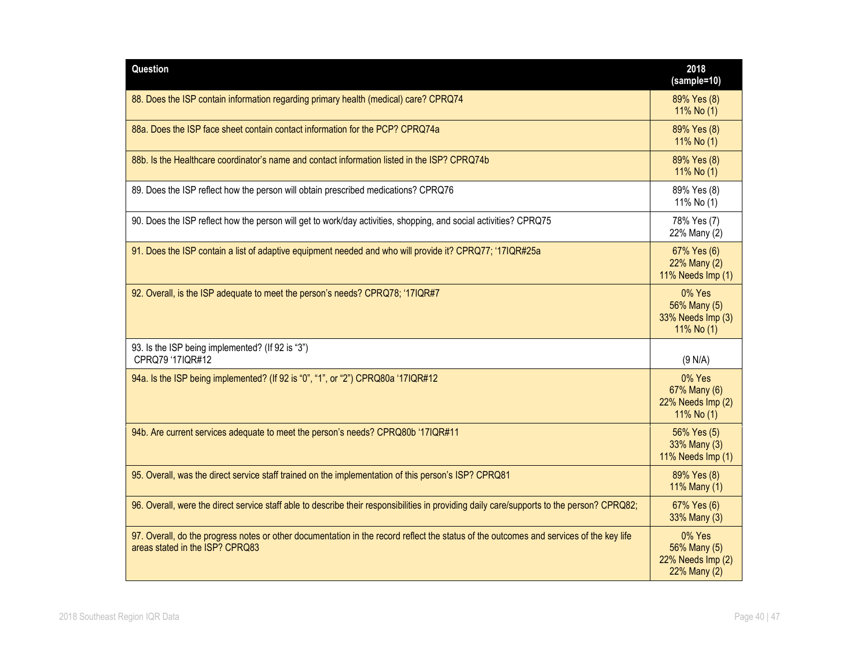| Question                                                                                                                                                                   | 2018<br>(sample=10)                                         |
|----------------------------------------------------------------------------------------------------------------------------------------------------------------------------|-------------------------------------------------------------|
| 88. Does the ISP contain information regarding primary health (medical) care? CPRQ74                                                                                       | 89% Yes (8)<br>11% No (1)                                   |
| 88a. Does the ISP face sheet contain contact information for the PCP? CPRQ74a                                                                                              | 89% Yes (8)<br>11% No (1)                                   |
| 88b. Is the Healthcare coordinator's name and contact information listed in the ISP? CPRQ74b                                                                               | 89% Yes (8)<br>11% No (1)                                   |
| 89. Does the ISP reflect how the person will obtain prescribed medications? CPRQ76                                                                                         | 89% Yes (8)<br>11% No (1)                                   |
| 90. Does the ISP reflect how the person will get to work/day activities, shopping, and social activities? CPRQ75                                                           | 78% Yes (7)<br>22% Many (2)                                 |
| 91. Does the ISP contain a list of adaptive equipment needed and who will provide it? CPRQ77; '17IQR#25a                                                                   | 67% Yes (6)<br>22% Many (2)<br>11% Needs Imp (1)            |
| 92. Overall, is the ISP adequate to meet the person's needs? CPRQ78; '17IQR#7                                                                                              | 0% Yes<br>56% Many (5)<br>33% Needs Imp (3)<br>11% No (1)   |
| 93. Is the ISP being implemented? (If 92 is "3")<br>CPRQ79 '17IQR#12                                                                                                       | (9 N/A)                                                     |
| 94a. Is the ISP being implemented? (If 92 is "0", "1", or "2") CPRQ80a '17IQR#12                                                                                           | 0% Yes<br>67% Many (6)<br>22% Needs Imp (2)<br>11% No (1)   |
| 94b. Are current services adequate to meet the person's needs? CPRQ80b '17IQR#11                                                                                           | 56% Yes (5)<br>33% Many (3)<br>11% Needs Imp (1)            |
| 95. Overall, was the direct service staff trained on the implementation of this person's ISP? CPRQ81                                                                       | 89% Yes (8)<br>11% Many (1)                                 |
| 96. Overall, were the direct service staff able to describe their responsibilities in providing daily care/supports to the person? CPRQ82;                                 | 67% Yes (6)<br>33% Many (3)                                 |
| 97. Overall, do the progress notes or other documentation in the record reflect the status of the outcomes and services of the key life<br>areas stated in the ISP? CPRQ83 | 0% Yes<br>56% Many (5)<br>22% Needs Imp (2)<br>22% Many (2) |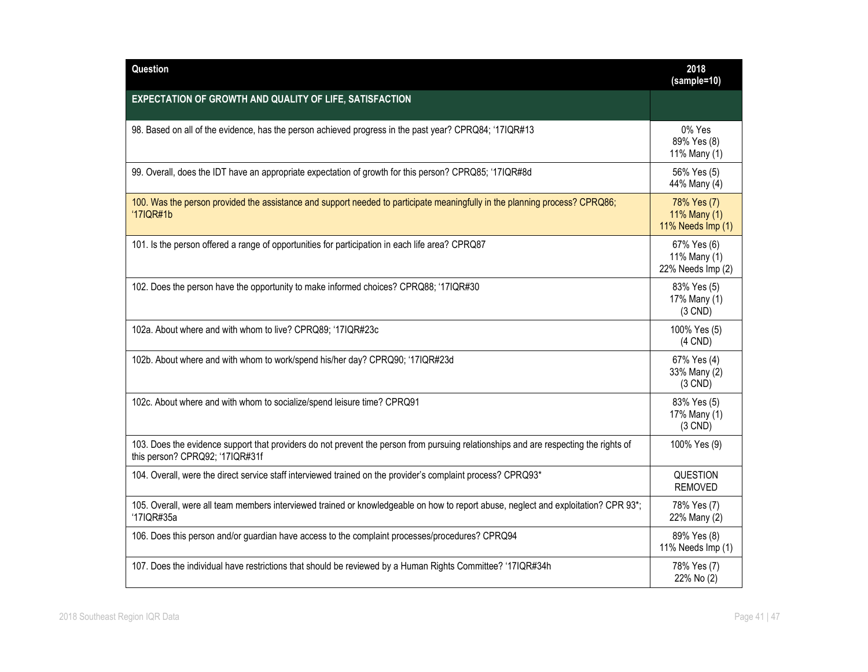| Question                                                                                                                                                                | 2018<br>(sample=10)                              |
|-------------------------------------------------------------------------------------------------------------------------------------------------------------------------|--------------------------------------------------|
| EXPECTATION OF GROWTH AND QUALITY OF LIFE, SATISFACTION                                                                                                                 |                                                  |
| 98. Based on all of the evidence, has the person achieved progress in the past year? CPRQ84; '17IQR#13                                                                  | 0% Yes<br>89% Yes (8)<br>11% Many (1)            |
| 99. Overall, does the IDT have an appropriate expectation of growth for this person? CPRQ85; '17IQR#8d                                                                  | 56% Yes (5)<br>44% Many (4)                      |
| 100. Was the person provided the assistance and support needed to participate meaningfully in the planning process? CPRQ86;<br>'17IQR#1b                                | 78% Yes (7)<br>11% Many (1)<br>11% Needs Imp (1) |
| 101. Is the person offered a range of opportunities for participation in each life area? CPRQ87                                                                         | 67% Yes (6)<br>11% Many (1)<br>22% Needs Imp (2) |
| 102. Does the person have the opportunity to make informed choices? CPRQ88; '17IQR#30                                                                                   | 83% Yes (5)<br>17% Many (1)<br>$(3$ CND)         |
| 102a. About where and with whom to live? CPRQ89; '17IQR#23c                                                                                                             | 100% Yes (5)<br>$(4$ CND $)$                     |
| 102b. About where and with whom to work/spend his/her day? CPRQ90; '17IQR#23d                                                                                           | 67% Yes (4)<br>33% Many (2)<br>$(3$ CND)         |
| 102c. About where and with whom to socialize/spend leisure time? CPRQ91                                                                                                 | 83% Yes (5)<br>17% Many (1)<br>$(3$ CND)         |
| 103. Does the evidence support that providers do not prevent the person from pursuing relationships and are respecting the rights of<br>this person? CPRQ92; '17IQR#31f | 100% Yes (9)                                     |
| 104. Overall, were the direct service staff interviewed trained on the provider's complaint process? CPRQ93*                                                            | <b>QUESTION</b><br><b>REMOVED</b>                |
| 105. Overall, were all team members interviewed trained or knowledgeable on how to report abuse, neglect and exploitation? CPR 93*;<br>'17IQR#35a                       | 78% Yes (7)<br>22% Many (2)                      |
| 106. Does this person and/or guardian have access to the complaint processes/procedures? CPRQ94                                                                         | 89% Yes (8)<br>11% Needs Imp (1)                 |
| 107. Does the individual have restrictions that should be reviewed by a Human Rights Committee? '17IQR#34h                                                              | 78% Yes (7)<br>22% No (2)                        |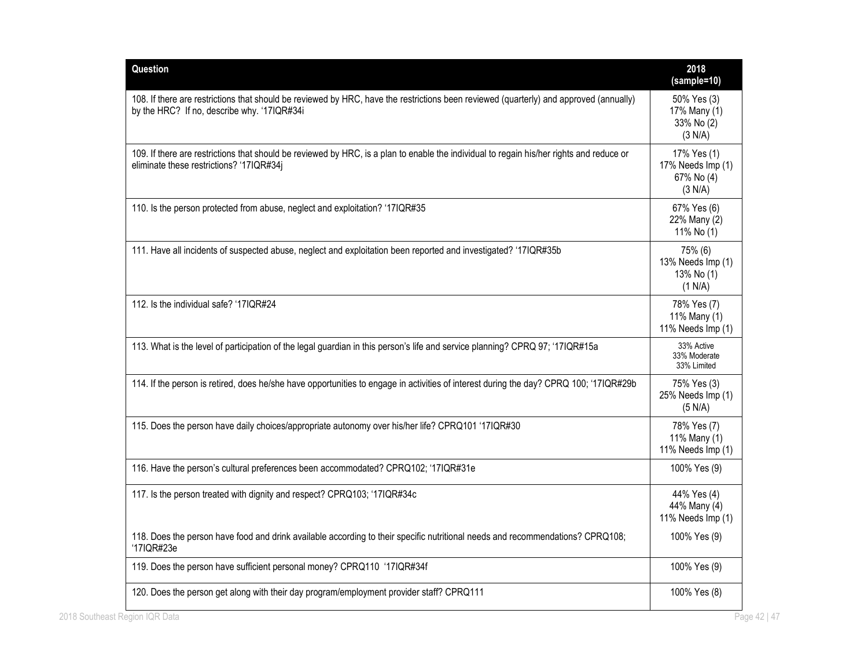| Question                                                                                                                                                                              | 2018<br>(sample=10)                                       |
|---------------------------------------------------------------------------------------------------------------------------------------------------------------------------------------|-----------------------------------------------------------|
| 108. If there are restrictions that should be reviewed by HRC, have the restrictions been reviewed (quarterly) and approved (annually)<br>by the HRC? If no, describe why. '17IQR#34i | 50% Yes (3)<br>17% Many (1)<br>33% No (2)<br>(3 N/A)      |
| 109. If there are restrictions that should be reviewed by HRC, is a plan to enable the individual to regain his/her rights and reduce or<br>eliminate these restrictions? '17IQR#34j  | 17% Yes (1)<br>17% Needs Imp (1)<br>67% No (4)<br>(3 N/A) |
| 110. Is the person protected from abuse, neglect and exploitation? '17IQR#35                                                                                                          | 67% Yes (6)<br>22% Many (2)<br>11% No (1)                 |
| 111. Have all incidents of suspected abuse, neglect and exploitation been reported and investigated? '17IQR#35b                                                                       | 75% (6)<br>13% Needs Imp (1)<br>13% No (1)<br>(1 N/A)     |
| 112. Is the individual safe? '17IQR#24                                                                                                                                                | 78% Yes (7)<br>11% Many (1)<br>11% Needs Imp (1)          |
| 113. What is the level of participation of the legal guardian in this person's life and service planning? CPRQ 97; '17IQR#15a                                                         | 33% Active<br>33% Moderate<br>33% Limited                 |
| 114. If the person is retired, does he/she have opportunities to engage in activities of interest during the day? CPRQ 100; '17IQR#29b                                                | 75% Yes (3)<br>25% Needs Imp (1)<br>(5 N/A)               |
| 115. Does the person have daily choices/appropriate autonomy over his/her life? CPRQ101 '17IQR#30                                                                                     | 78% Yes (7)<br>11% Many (1)<br>11% Needs Imp (1)          |
| 116. Have the person's cultural preferences been accommodated? CPRQ102; '17IQR#31e                                                                                                    | 100% Yes (9)                                              |
| 117. Is the person treated with dignity and respect? CPRQ103; '17IQR#34c                                                                                                              | 44% Yes (4)<br>44% Many (4)<br>11% Needs Imp (1)          |
| 118. Does the person have food and drink available according to their specific nutritional needs and recommendations? CPRQ108;<br>'17IQR#23e                                          | 100% Yes (9)                                              |
| 119. Does the person have sufficient personal money? CPRQ110 '17IQR#34f                                                                                                               | 100% Yes (9)                                              |
| 120. Does the person get along with their day program/employment provider staff? CPRQ111                                                                                              | 100% Yes (8)                                              |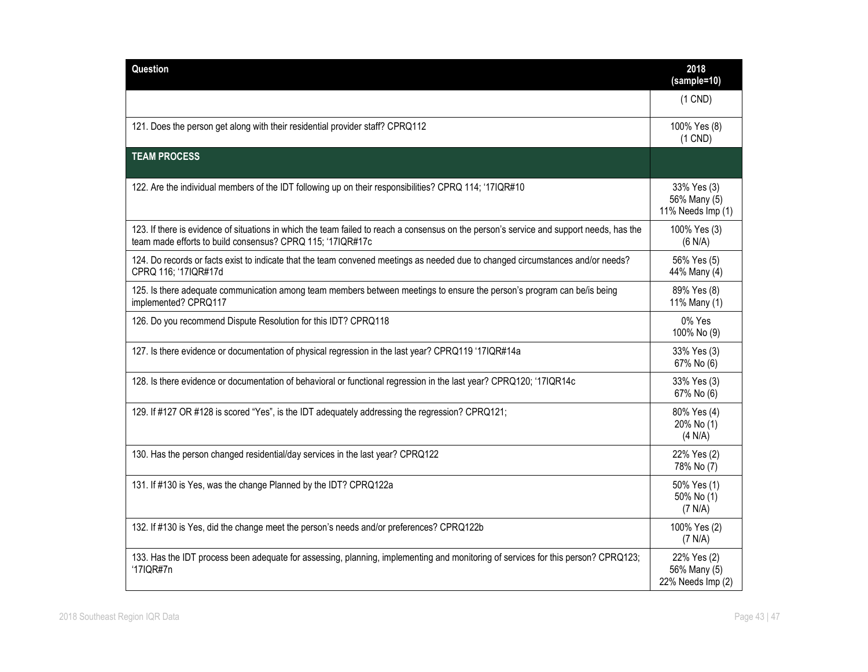| Question                                                                                                                                                                                               | 2018<br>(sample=10)                              |
|--------------------------------------------------------------------------------------------------------------------------------------------------------------------------------------------------------|--------------------------------------------------|
|                                                                                                                                                                                                        | $(1$ CND)                                        |
| 121. Does the person get along with their residential provider staff? CPRQ112                                                                                                                          | 100% Yes (8)<br>$(1$ CND)                        |
| <b>TEAM PROCESS</b>                                                                                                                                                                                    |                                                  |
| 122. Are the individual members of the IDT following up on their responsibilities? CPRQ 114; '17IQR#10                                                                                                 | 33% Yes (3)<br>56% Many (5)<br>11% Needs Imp (1) |
| 123. If there is evidence of situations in which the team failed to reach a consensus on the person's service and support needs, has the<br>team made efforts to build consensus? CPRQ 115; '17IQR#17c | 100% Yes (3)<br>(6 N/A)                          |
| 124. Do records or facts exist to indicate that the team convened meetings as needed due to changed circumstances and/or needs?<br>CPRQ 116; '17IQR#17d                                                | 56% Yes (5)<br>44% Many (4)                      |
| 125. Is there adequate communication among team members between meetings to ensure the person's program can be/is being<br>implemented? CPRQ117                                                        | 89% Yes (8)<br>11% Many (1)                      |
| 126. Do you recommend Dispute Resolution for this IDT? CPRQ118                                                                                                                                         | 0% Yes<br>100% No (9)                            |
| 127. Is there evidence or documentation of physical regression in the last year? CPRQ119 '17IQR#14a                                                                                                    | 33% Yes (3)<br>67% No (6)                        |
| 128. Is there evidence or documentation of behavioral or functional regression in the last year? CPRQ120; '17IQR14c                                                                                    | 33% Yes (3)<br>67% No (6)                        |
| 129. If #127 OR #128 is scored "Yes", is the IDT adequately addressing the regression? CPRQ121;                                                                                                        | 80% Yes (4)<br>20% No (1)<br>(4 N/A)             |
| 130. Has the person changed residential/day services in the last year? CPRQ122                                                                                                                         | 22% Yes (2)<br>78% No (7)                        |
| 131. If #130 is Yes, was the change Planned by the IDT? CPRQ122a                                                                                                                                       | 50% Yes (1)<br>50% No (1)<br>(7 N/A)             |
| 132. If #130 is Yes, did the change meet the person's needs and/or preferences? CPRQ122b                                                                                                               | 100% Yes (2)<br>(7 N/A)                          |
| 133. Has the IDT process been adequate for assessing, planning, implementing and monitoring of services for this person? CPRQ123;<br>'17IQR#7n                                                         | 22% Yes (2)<br>56% Many (5)<br>22% Needs Imp (2) |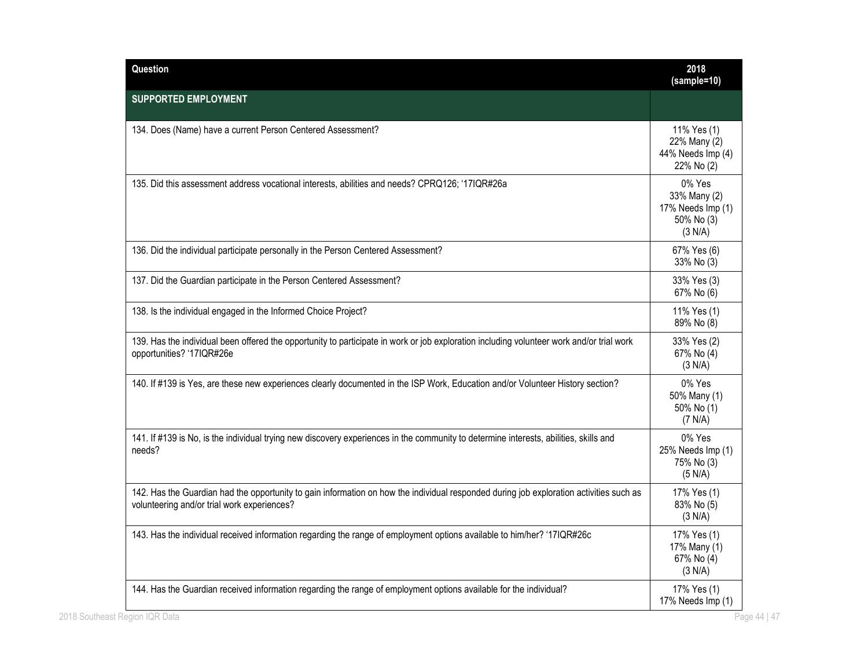| Question                                                                                                                                                                               | 2018<br>(sample=10)                                                  |
|----------------------------------------------------------------------------------------------------------------------------------------------------------------------------------------|----------------------------------------------------------------------|
| <b>SUPPORTED EMPLOYMENT</b>                                                                                                                                                            |                                                                      |
| 134. Does (Name) have a current Person Centered Assessment?                                                                                                                            | 11% Yes (1)<br>22% Many (2)<br>44% Needs Imp (4)<br>22% No (2)       |
| 135. Did this assessment address vocational interests, abilities and needs? CPRQ126; '17IQR#26a                                                                                        | 0% Yes<br>33% Many (2)<br>17% Needs Imp (1)<br>50% No (3)<br>(3 N/A) |
| 136. Did the individual participate personally in the Person Centered Assessment?                                                                                                      | 67% Yes (6)<br>33% No (3)                                            |
| 137. Did the Guardian participate in the Person Centered Assessment?                                                                                                                   | 33% Yes (3)<br>67% No (6)                                            |
| 138. Is the individual engaged in the Informed Choice Project?                                                                                                                         | 11% Yes (1)<br>89% No (8)                                            |
| 139. Has the individual been offered the opportunity to participate in work or job exploration including volunteer work and/or trial work<br>opportunities? '17IQR#26e                 | 33% Yes (2)<br>67% No (4)<br>(3 N/A)                                 |
| 140. If #139 is Yes, are these new experiences clearly documented in the ISP Work, Education and/or Volunteer History section?                                                         | 0% Yes<br>50% Many (1)<br>50% No (1)<br>(7 N/A)                      |
| 141. If #139 is No, is the individual trying new discovery experiences in the community to determine interests, abilities, skills and<br>needs?                                        | 0% Yes<br>25% Needs Imp (1)<br>75% No (3)<br>(5 N/A)                 |
| 142. Has the Guardian had the opportunity to gain information on how the individual responded during job exploration activities such as<br>volunteering and/or trial work experiences? | 17% Yes (1)<br>83% No (5)<br>(3 N/A)                                 |
| 143. Has the individual received information regarding the range of employment options available to him/her? '17IQR#26c                                                                | 17% Yes (1)<br>17% Many (1)<br>67% No (4)<br>(3 N/A)                 |
| 144. Has the Guardian received information regarding the range of employment options available for the individual?                                                                     | 17% Yes (1)<br>17% Needs Imp (1)                                     |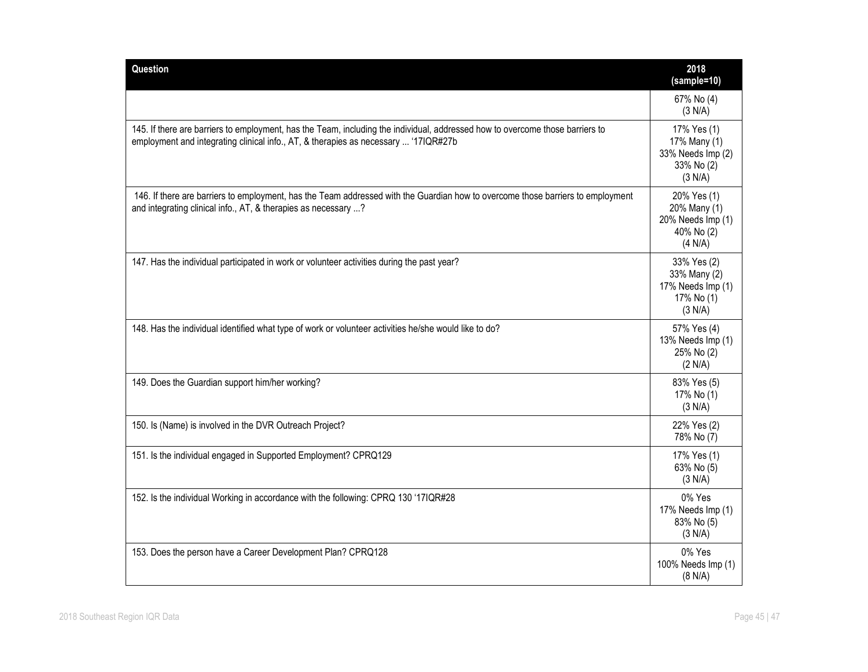| Question                                                                                                                                                                                                             | 2018<br>(sample=10)                                                       |
|----------------------------------------------------------------------------------------------------------------------------------------------------------------------------------------------------------------------|---------------------------------------------------------------------------|
|                                                                                                                                                                                                                      | 67% No (4)<br>(3 N/A)                                                     |
| 145. If there are barriers to employment, has the Team, including the individual, addressed how to overcome those barriers to<br>employment and integrating clinical info., AT, & therapies as necessary  '17IQR#27b | 17% Yes (1)<br>17% Many (1)<br>33% Needs Imp (2)<br>33% No (2)<br>(3 N/A) |
| 146. If there are barriers to employment, has the Team addressed with the Guardian how to overcome those barriers to employment<br>and integrating clinical info., AT, & therapies as necessary ?                    | 20% Yes (1)<br>20% Many (1)<br>20% Needs Imp (1)<br>40% No (2)<br>(4 N/A) |
| 147. Has the individual participated in work or volunteer activities during the past year?                                                                                                                           | 33% Yes (2)<br>33% Many (2)<br>17% Needs Imp (1)<br>17% No (1)<br>(3 N/A) |
| 148. Has the individual identified what type of work or volunteer activities he/she would like to do?                                                                                                                | 57% Yes (4)<br>13% Needs Imp (1)<br>25% No (2)<br>(2 N/A)                 |
| 149. Does the Guardian support him/her working?                                                                                                                                                                      | 83% Yes (5)<br>17% No (1)<br>(3 N/A)                                      |
| 150. Is (Name) is involved in the DVR Outreach Project?                                                                                                                                                              | 22% Yes (2)<br>78% No (7)                                                 |
| 151. Is the individual engaged in Supported Employment? CPRQ129                                                                                                                                                      | 17% Yes (1)<br>63% No (5)<br>(3 N/A)                                      |
| 152. Is the individual Working in accordance with the following: CPRQ 130 '17IQR#28                                                                                                                                  | 0% Yes<br>17% Needs Imp (1)<br>83% No (5)<br>(3 N/A)                      |
| 153. Does the person have a Career Development Plan? CPRQ128                                                                                                                                                         | 0% Yes<br>100% Needs Imp (1)<br>(8 N/A)                                   |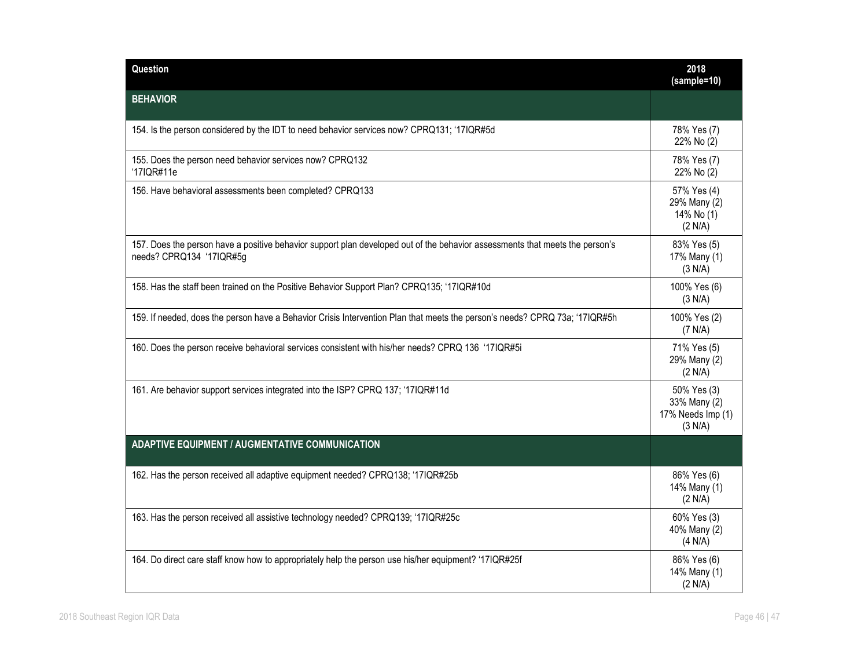| Question                                                                                                                                                 | 2018<br>$(sample=10)$                                       |
|----------------------------------------------------------------------------------------------------------------------------------------------------------|-------------------------------------------------------------|
| <b>BEHAVIOR</b>                                                                                                                                          |                                                             |
| 154. Is the person considered by the IDT to need behavior services now? CPRQ131; '17IQR#5d                                                               | 78% Yes (7)<br>22% No (2)                                   |
| 155. Does the person need behavior services now? CPRQ132<br>'17IQR#11e                                                                                   | 78% Yes (7)<br>22% No (2)                                   |
| 156. Have behavioral assessments been completed? CPRQ133                                                                                                 | 57% Yes (4)<br>29% Many (2)<br>14% No (1)<br>(2 N/A)        |
| 157. Does the person have a positive behavior support plan developed out of the behavior assessments that meets the person's<br>needs? CPRQ134 '17IQR#5g | 83% Yes (5)<br>17% Many (1)<br>(3 N/A)                      |
| 158. Has the staff been trained on the Positive Behavior Support Plan? CPRQ135; '17IQR#10d                                                               | 100% Yes (6)<br>(3 N/A)                                     |
| 159. If needed, does the person have a Behavior Crisis Intervention Plan that meets the person's needs? CPRQ 73a; '17IQR#5h                              | 100% Yes (2)<br>(7 N/A)                                     |
| 160. Does the person receive behavioral services consistent with his/her needs? CPRQ 136 '17IQR#5i                                                       | 71% Yes (5)<br>29% Many (2)<br>(2 N/A)                      |
| 161. Are behavior support services integrated into the ISP? CPRQ 137; '17IQR#11d                                                                         | 50% Yes (3)<br>33% Many (2)<br>17% Needs Imp (1)<br>(3 N/A) |
| <b>ADAPTIVE EQUIPMENT / AUGMENTATIVE COMMUNICATION</b>                                                                                                   |                                                             |
| 162. Has the person received all adaptive equipment needed? CPRQ138; '17IQR#25b                                                                          | 86% Yes (6)<br>14% Many (1)<br>(2 N/A)                      |
| 163. Has the person received all assistive technology needed? CPRQ139; '17IQR#25c                                                                        | 60% Yes (3)<br>40% Many (2)<br>(4 N/A)                      |
| 164. Do direct care staff know how to appropriately help the person use his/her equipment? '17IQR#25f                                                    | 86% Yes (6)<br>14% Many (1)<br>(2 N/A)                      |